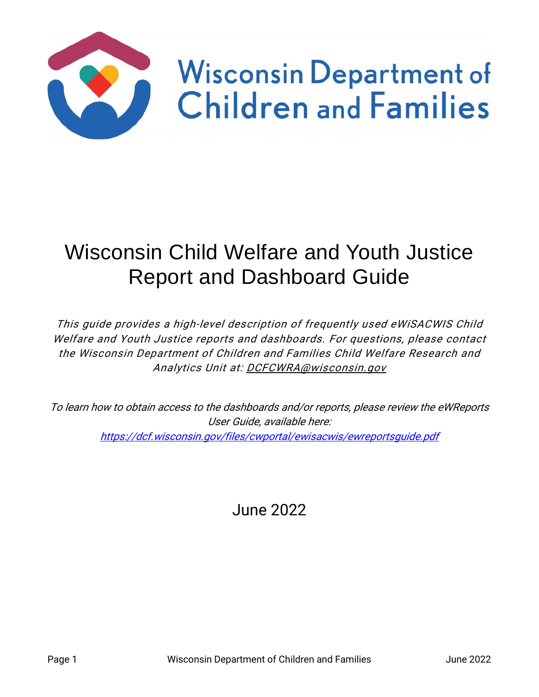

# Wisconsin Child Welfare and Youth Justice Report and Dashboard Guide

This guide provides a high-level description of frequently used eWiSACWIS Child Welfare and Youth Justice reports and dashboards. For questions, please contact the Wisconsin Department of Children and Families Child Welfare Research and Analytics Unit at: [DCFCWRA@wisconsin.gov](mailto:DCFCWRA@wisconsin.gov)

To learn how to obtain access to the dashboards and/or reports, please review the eWReports User Guide, available here: <https://dcf.wisconsin.gov/files/cwportal/ewisacwis/ewreportsguide.pdf>

June 2022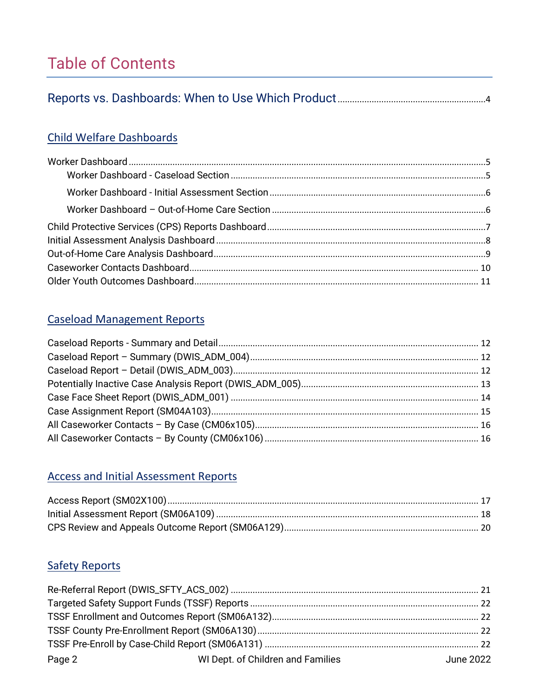# **Table of Contents**

|--|--|--|--|--|

### **Child Welfare Dashboards**

### **Caseload Management Reports**

### **Access and Initial Assessment Reports**

### **Safety Reports**

| Page 2 | WI Dept. of Children and Families | June 2022 |  |  |
|--------|-----------------------------------|-----------|--|--|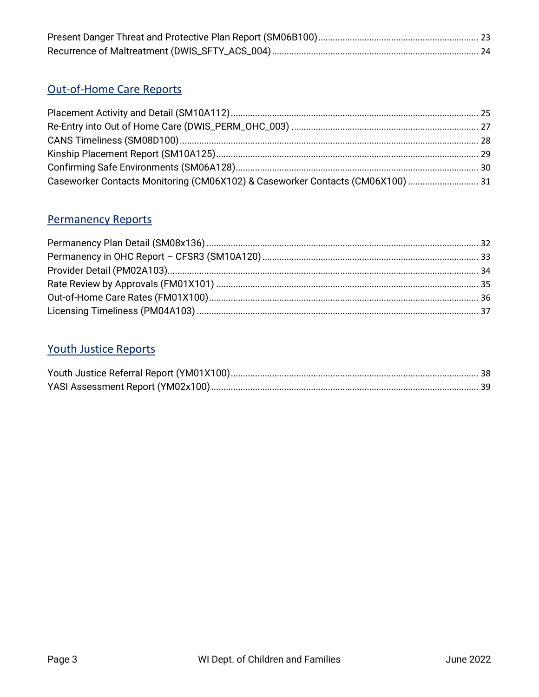### Out-of-Home Care Reports

| Caseworker Contacts Monitoring (CM06X102) & Caseworker Contacts (CM06X100)  31 |  |
|--------------------------------------------------------------------------------|--|

### **Permanency Reports**

### **Youth Justice Reports**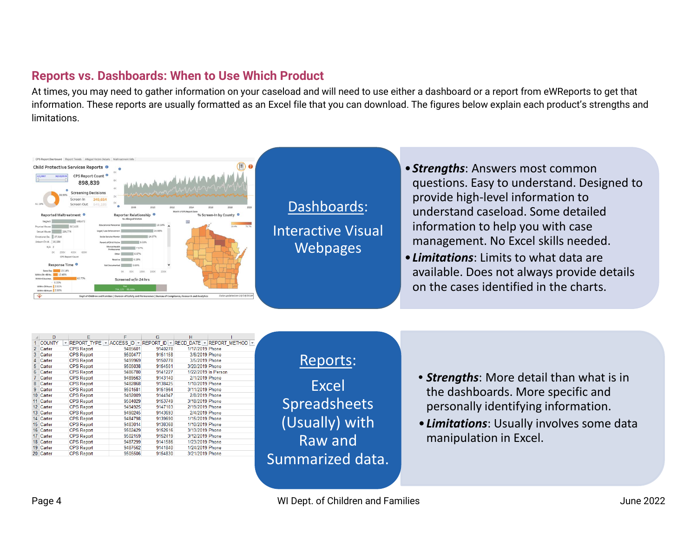### **Reports vs. Dashboards: When to Use Which Product**

At times, you may need to gather information on your caseload and will need to use either a dashboard or a report from eWReports to get that information. These reports are usually formatted as an Excel file that you can download. The figures below explain each product's strengths and limitations.

<span id="page-3-0"></span>

|                  | D                                        | Е                 | F       | G       | н                   |                                                     |
|------------------|------------------------------------------|-------------------|---------|---------|---------------------|-----------------------------------------------------|
|                  | <b>COUNTY</b><br>$\overline{\mathbf{v}}$ | REPORT TYPE ~     |         |         |                     | ACCESS ID * REPORT ID * RECD DATE * REPORT METHOD * |
| $\mathcal{P}$    | Carter                                   | <b>CPS Report</b> | 9485601 | 9140278 | 1/17/2019 Phone     |                                                     |
| 3                | Carter                                   | <b>CPS Report</b> | 9500477 | 9151158 | 3/6/2019 Phone      |                                                     |
| 4                | Carter                                   | <b>CPS Report</b> | 9499969 | 9150778 | 3/5/2019 Phone      |                                                     |
| 5                | Carter                                   | <b>CPS Report</b> | 9505038 | 9154501 | 3/20/2019 Phone     |                                                     |
| 6                | Carter                                   | <b>CPS Report</b> | 9486780 | 9141227 | 1/22/2019 In Person |                                                     |
| 7                | Carter                                   | <b>CPS Report</b> | 9489563 | 9143140 | 2/1/2019 Phone      |                                                     |
| 8                | Carter                                   | <b>CPS Report</b> | 9482868 | 9138425 | 1/10/2019 Phone     |                                                     |
| 9                | Carter                                   | <b>CPS Report</b> | 9501581 | 9151964 | 3/11/2019 Phone     |                                                     |
| 10 <sup>10</sup> | Carter                                   | <b>CPS Report</b> | 9492009 | 9144947 | 2/8/2019 Phone      |                                                     |
| 11               | Carter                                   | <b>CPS Report</b> | 9504029 | 9153749 | 3/18/2019 Phone     |                                                     |
| 12 <sup>1</sup>  | Carter                                   | <b>CPS Report</b> | 9494925 | 9147103 | 2/19/2019 Phone     |                                                     |
| 13               | Carter                                   | <b>CPS Report</b> | 9490245 | 9143693 | 2/4/2019 Phone      |                                                     |
| 14 <sup>1</sup>  | Carter                                   | <b>CPS Report</b> | 9484798 | 9139690 | 1/15/2019 Phone     |                                                     |
| 15 <sup>15</sup> | Carter                                   | <b>CPS Report</b> | 9483014 | 9138368 | 1/10/2019 Phone     |                                                     |
| 16               | Carter                                   | <b>CPS Report</b> | 9502429 | 9152616 | 3/13/2019 Phone     |                                                     |
| 17               | Carter                                   | <b>CPS Report</b> | 9502159 | 9152419 | 3/12/2019 Phone     |                                                     |
| 18               | Carter                                   | <b>CPS Report</b> | 9487299 | 9141586 | 1/23/2019 Phone     |                                                     |
| 19               | Carter                                   | <b>CPS Report</b> | 9487562 | 9141840 | 1/24/2019 Phone     |                                                     |
|                  | 20 Carter                                | <b>CPS Report</b> | 9505506 | 9154830 | 3/21/2019 Phone     |                                                     |
|                  |                                          |                   |         |         |                     |                                                     |

### Reports:

Excel Spreadsheets (Usually) with Raw and Summarized data.

- *Strengths*: More detail than what is in the dashboards. More specific and personally identifying information.
- •*Limitations*: Usually involves some data manipulation in Excel.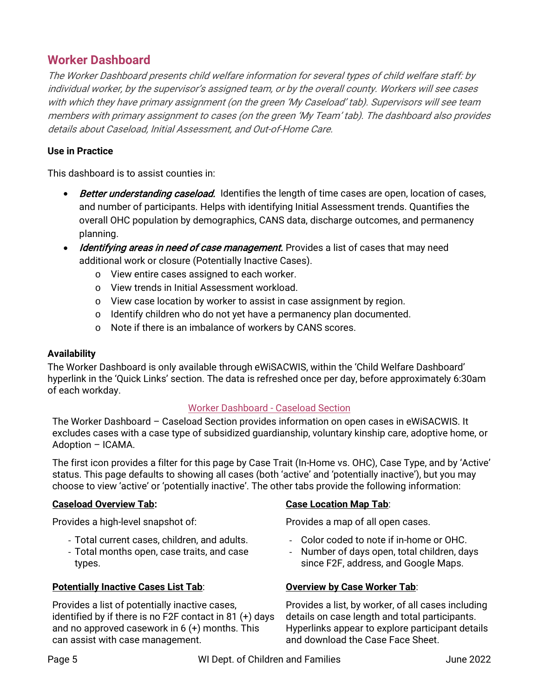### <span id="page-4-0"></span>**Worker Dashboard**

The Worker Dashboard presents child welfare information for several types of child welfare staff: by individual worker, by the supervisor's assigned team, or by the overall county. Workers will see cases with which they have primary assignment (on the green 'My Caseload' tab). Supervisors will see team members with primary assignment to cases (on the green 'My Team' tab). The dashboard also provides details about Caseload, Initial Assessment, and Out-of-Home Care.

#### **Use in Practice**

This dashboard is to assist counties in:

- Better understanding caseload. Identifies the length of time cases are open, location of cases, and number of participants. Helps with identifying Initial Assessment trends. Quantifies the overall OHC population by demographics, CANS data, discharge outcomes, and permanency planning.
- Identifying areas in need of case management. Provides a list of cases that may need additional work or closure (Potentially Inactive Cases).
	- o View entire cases assigned to each worker.
	- o View trends in Initial Assessment workload.
	- o View case location by worker to assist in case assignment by region.
	- o Identify children who do not yet have a permanency plan documented.
	- o Note if there is an imbalance of workers by CANS scores.

#### **Availability**

The Worker Dashboard is only available through eWiSACWIS, within the 'Child Welfare Dashboard' hyperlink in the 'Quick Links' section. The data is refreshed once per day, before approximately 6:30am of each workday.

#### Worker Dashboard - Caseload Section

<span id="page-4-1"></span>The Worker Dashboard – Caseload Section provides information on open cases in eWiSACWIS. It excludes cases with a case type of subsidized guardianship, voluntary kinship care, adoptive home, or Adoption – ICAMA.

The first icon provides a filter for this page by Case Trait (In-Home vs. OHC), Case Type, and by 'Active' status. This page defaults to showing all cases (both 'active' and 'potentially inactive'), but you may choose to view 'active' or 'potentially inactive'. The other tabs provide the following information:

#### **Caseload Overview Tab:**

Provides a high-level snapshot of:

- Total current cases, children, and adults.
- Total months open, case traits, and case types.

#### **Potentially Inactive Cases List Tab**:

Provides a list of potentially inactive cases, identified by if there is no F2F contact in 81 (+) days and no approved casework in 6 (+) months. This can assist with case management.

#### **Case Location Map Tab**:

Provides a map of all open cases.

- Color coded to note if in-home or OHC.
- Number of days open, total children, days since F2F, address, and Google Maps.

#### **Overview by Case Worker Tab**:

Provides a list, by worker, of all cases including details on case length and total participants. Hyperlinks appear to explore participant details and download the Case Face Sheet.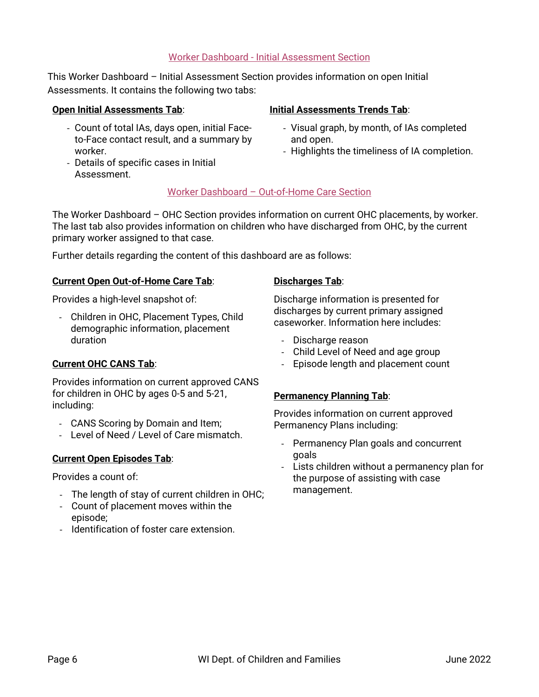#### Worker Dashboard - Initial Assessment Section

<span id="page-5-0"></span>This Worker Dashboard – Initial Assessment Section provides information on open Initial Assessments. It contains the following two tabs:

#### **Open Initial Assessments Tab**:

- Count of total IAs, days open, initial Faceto-Face contact result, and a summary by worker.
- Details of specific cases in Initial Assessment.

#### **Initial Assessments Trends Tab**:

- Visual graph, by month, of IAs completed and open.
- Highlights the timeliness of IA completion.

#### Worker Dashboard – Out-of-Home Care Section

<span id="page-5-1"></span>The Worker Dashboard – OHC Section provides information on current OHC placements, by worker. The last tab also provides information on children who have discharged from OHC, by the current primary worker assigned to that case.

Further details regarding the content of this dashboard are as follows:

#### **Current Open Out-of-Home Care Tab**:

Provides a high-level snapshot of:

- Children in OHC, Placement Types, Child demographic information, placement duration

#### **Current OHC CANS Tab**:

Provides information on current approved CANS for children in OHC by ages 0-5 and 5-21, including:

- CANS Scoring by Domain and Item;
- Level of Need / Level of Care mismatch.

#### **Current Open Episodes Tab**:

Provides a count of:

- The length of stay of current children in OHC;
- Count of placement moves within the episode;
- Identification of foster care extension.

#### **Discharges Tab**:

Discharge information is presented for discharges by current primary assigned caseworker. Information here includes:

- Discharge reason
- Child Level of Need and age group
- Episode length and placement count

#### **Permanency Planning Tab**:

Provides information on current approved Permanency Plans including:

- Permanency Plan goals and concurrent goals
- Lists children without a permanency plan for the purpose of assisting with case management.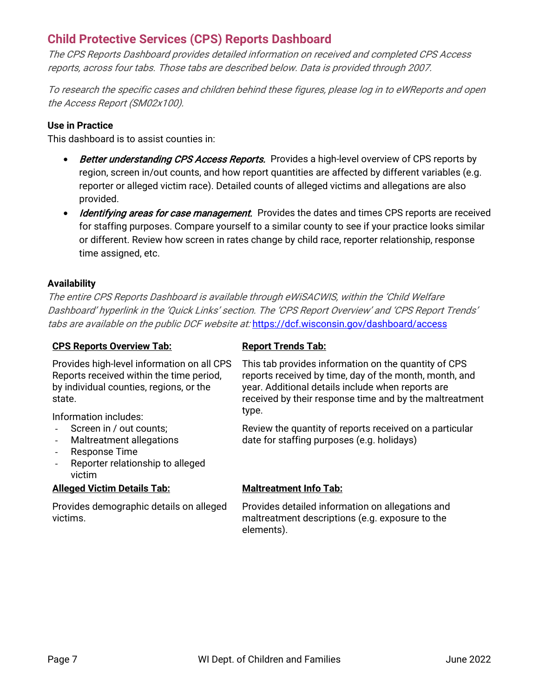### <span id="page-6-0"></span>**Child Protective Services (CPS) Reports Dashboard**

The CPS Reports Dashboard provides detailed information on received and completed CPS Access reports, across four tabs. Those tabs are described below. Data is provided through 2007.

To research the specific cases and children behind these figures, please log in to eWReports and open the Access Report (SM02x100).

#### **Use in Practice**

This dashboard is to assist counties in:

- Better understanding CPS Access Reports. Provides a high-level overview of CPS reports by region, screen in/out counts, and how report quantities are affected by different variables (e.g. reporter or alleged victim race). Detailed counts of alleged victims and allegations are also provided.
- Identifying areas for case management. Provides the dates and times CPS reports are received for staffing purposes. Compare yourself to a similar county to see if your practice looks similar or different. Review how screen in rates change by child race, reporter relationship, response time assigned, etc.

#### **Availability**

The entire CPS Reports Dashboard is available through eWiSACWIS, within the 'Child Welfare Dashboard' hyperlink in the 'Quick Links' section. The 'CPS Report Overview' and 'CPS Report Trends' tabs are available on the public DCF website at: <https://dcf.wisconsin.gov/dashboard/access>

#### **CPS Reports Overview Tab:**

Provides high-level information on all CPS Reports received within the time period, by individual counties, regions, or the state.

Information includes:

- Screen in / out counts;
- Maltreatment allegations
- Response Time
- Reporter relationship to alleged victim

#### **Alleged Victim Details Tab:**

Provides demographic details on alleged victims.

#### **Report Trends Tab:**

This tab provides information on the quantity of CPS reports received by time, day of the month, month, and year. Additional details include when reports are received by their response time and by the maltreatment type.

Review the quantity of reports received on a particular date for staffing purposes (e.g. holidays)

#### **Maltreatment Info Tab:**

Provides detailed information on allegations and maltreatment descriptions (e.g. exposure to the elements).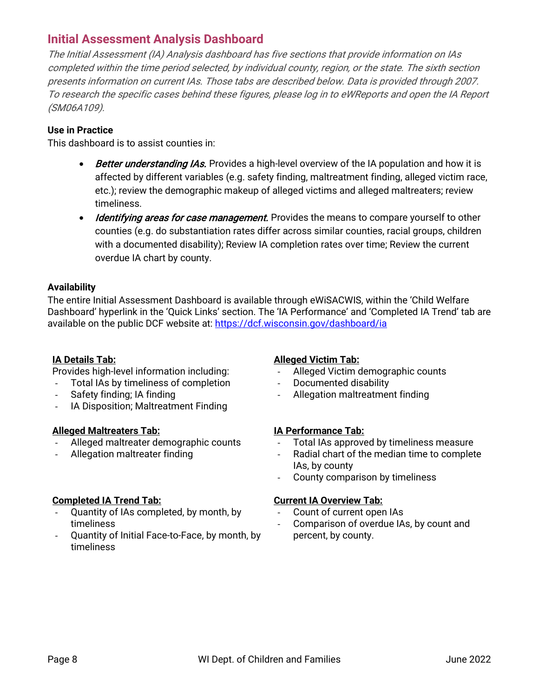### <span id="page-7-0"></span>**Initial Assessment Analysis Dashboard**

The Initial Assessment (IA) Analysis dashboard has five sections that provide information on IAs completed within the time period selected, by individual county, region, or the state. The sixth section presents information on current IAs. Those tabs are described below. Data is provided through 2007. To research the specific cases behind these figures, please log in to eWReports and open the IA Report (SM06A109).

#### **Use in Practice**

This dashboard is to assist counties in:

- Better understanding IAs. Provides a high-level overview of the IA population and how it is affected by different variables (e.g. safety finding, maltreatment finding, alleged victim race, etc.); review the demographic makeup of alleged victims and alleged maltreaters; review timeliness.
- Identifying areas for case management. Provides the means to compare yourself to other counties (e.g. do substantiation rates differ across similar counties, racial groups, children with a documented disability); Review IA completion rates over time; Review the current overdue IA chart by county.

#### **Availability**

The entire Initial Assessment Dashboard is available through eWiSACWIS, within the 'Child Welfare Dashboard' hyperlink in the 'Quick Links' section. The 'IA Performance' and 'Completed IA Trend' tab are available on the public DCF website at:<https://dcf.wisconsin.gov/dashboard/ia>

#### **IA Details Tab:**

Provides high-level information including:

- Total IAs by timeliness of completion
- Safety finding: IA finding
- IA Disposition; Maltreatment Finding

#### **Alleged Maltreaters Tab:**

- Alleged maltreater demographic counts
- Allegation maltreater finding

#### **Completed IA Trend Tab:**

- Quantity of IAs completed, by month, by timeliness
- Quantity of Initial Face-to-Face, by month, by timeliness

#### **Alleged Victim Tab:**

- Alleged Victim demographic counts
- Documented disability
- Allegation maltreatment finding

#### **IA Performance Tab:**

- Total IAs approved by timeliness measure
- Radial chart of the median time to complete IAs, by county
- County comparison by timeliness

#### **Current IA Overview Tab:**

- Count of current open IAs
- Comparison of overdue IAs, by count and percent, by county.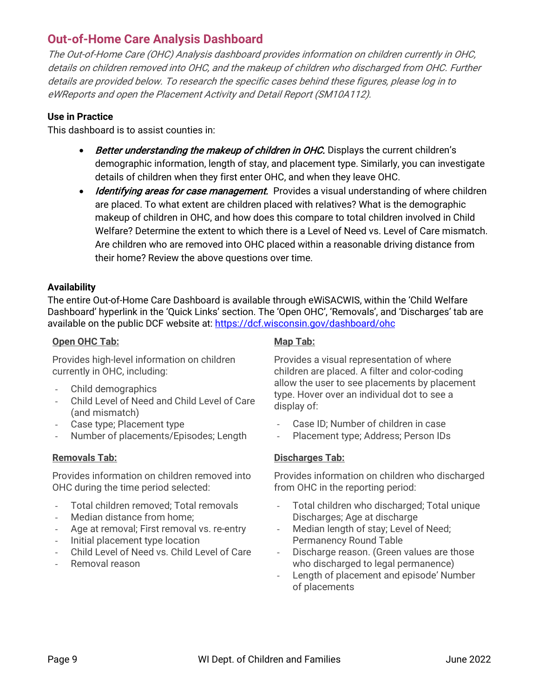### <span id="page-8-0"></span>**Out-of-Home Care Analysis Dashboard**

The Out-of-Home Care (OHC) Analysis dashboard provides information on children currently in OHC, details on children removed into OHC, and the makeup of children who discharged from OHC. Further details are provided below. To research the specific cases behind these figures, please log in to eWReports and open the Placement Activity and Detail Report (SM10A112).

#### **Use in Practice**

This dashboard is to assist counties in:

- Better understanding the makeup of children in OHC. Displays the current children's demographic information, length of stay, and placement type. Similarly, you can investigate details of children when they first enter OHC, and when they leave OHC.
- Identifying areas for case management. Provides a visual understanding of where children are placed. To what extent are children placed with relatives? What is the demographic makeup of children in OHC, and how does this compare to total children involved in Child Welfare? Determine the extent to which there is a Level of Need vs. Level of Care mismatch. Are children who are removed into OHC placed within a reasonable driving distance from their home? Review the above questions over time.

#### **Availability**

The entire Out-of-Home Care Dashboard is available through eWiSACWIS, within the 'Child Welfare Dashboard' hyperlink in the 'Quick Links' section. The 'Open OHC', 'Removals', and 'Discharges' tab are available on the public DCF website at:<https://dcf.wisconsin.gov/dashboard/ohc>

#### **Open OHC Tab:**

Provides high-level information on children currently in OHC, including:

- Child demographics
- Child Level of Need and Child Level of Care (and mismatch)
- Case type; Placement type
- Number of placements/Episodes; Length

#### **Removals Tab:**

Provides information on children removed into OHC during the time period selected:

- Total children removed; Total removals
- Median distance from home;
- Age at removal; First removal vs. re-entry
- Initial placement type location
- Child Level of Need vs. Child Level of Care
- Removal reason

#### **Map Tab:**

Provides a visual representation of where children are placed. A filter and color-coding allow the user to see placements by placement type. Hover over an individual dot to see a display of:

- Case ID; Number of children in case
- Placement type; Address; Person IDs

#### **Discharges Tab:**

Provides information on children who discharged from OHC in the reporting period:

- Total children who discharged; Total unique Discharges; Age at discharge
- Median length of stay; Level of Need; Permanency Round Table
- Discharge reason. (Green values are those who discharged to legal permanence)
- Length of placement and episode' Number of placements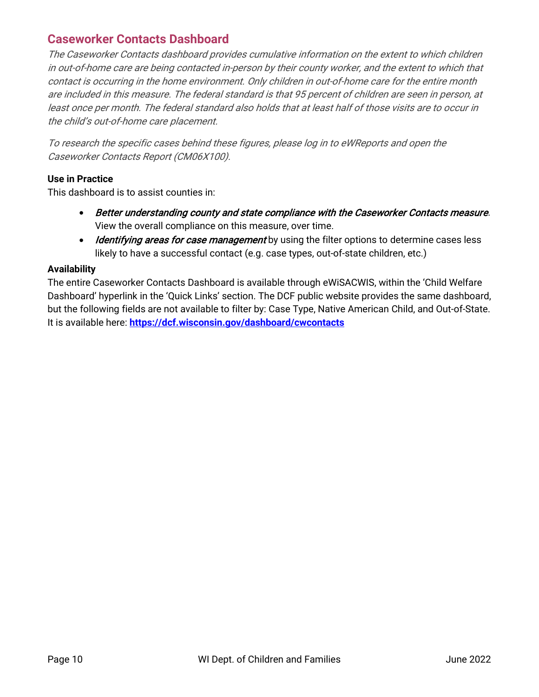### <span id="page-9-0"></span>**Caseworker Contacts Dashboard**

The Caseworker Contacts dashboard provides cumulative information on the extent to which children in out-of-home care are being contacted in-person by their county worker, and the extent to which that contact is occurring in the home environment. Only children in out-of-home care for the entire month are included in this measure. The federal standard is that 95 percent of children are seen in person, at least once per month. The federal standard also holds that at least half of those visits are to occur in the child's out-of-home care placement.

To research the specific cases behind these figures, please log in to eWReports and open the Caseworker Contacts Report (CM06X100).

#### **Use in Practice**

This dashboard is to assist counties in:

- Better understanding county and state compliance with the Caseworker Contacts measure. View the overall compliance on this measure, over time.
- Identifying areas for case management by using the filter options to determine cases less likely to have a successful contact (e.g. case types, out-of-state children, etc.)

#### **Availability**

The entire Caseworker Contacts Dashboard is available through eWiSACWIS, within the 'Child Welfare Dashboard' hyperlink in the 'Quick Links' section. The DCF public website provides the same dashboard, but the following fields are not available to filter by: Case Type, Native American Child, and Out-of-State. It is available here: **<https://dcf.wisconsin.gov/dashboard/cwcontacts>**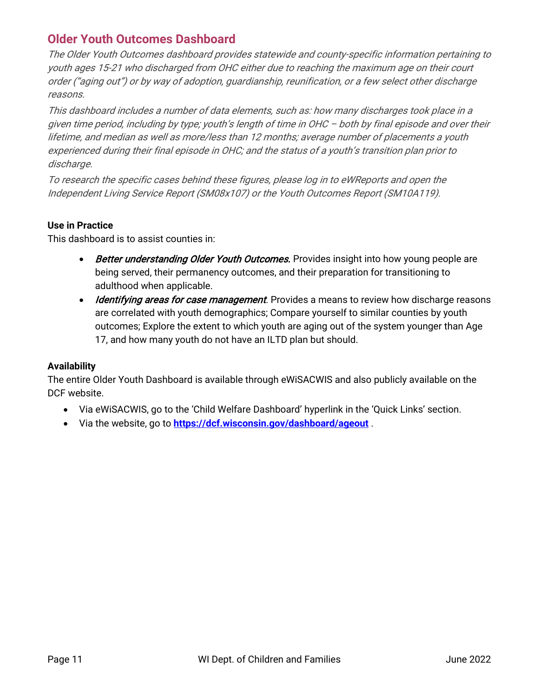### <span id="page-10-0"></span>**Older Youth Outcomes Dashboard**

The Older Youth Outcomes dashboard provides statewide and county-specific information pertaining to youth ages 15-21 who discharged from OHC either due to reaching the maximum age on their court order ("aging out") or by way of adoption, guardianship, reunification, or a few select other discharge reasons.

This dashboard includes a number of data elements, such as: how many discharges took place in a given time period, including by type; youth's length of time in OHC – both by final episode and over their lifetime, and median as well as more/less than 12 months; average number of placements a youth experienced during their final episode in OHC; and the status of a youth's transition plan prior to discharge.

To research the specific cases behind these figures, please log in to eWReports and open the Independent Living Service Report (SM08x107) or the Youth Outcomes Report (SM10A119).

#### **Use in Practice**

This dashboard is to assist counties in:

- Better understanding Older Youth Outcomes. Provides insight into how young people are being served, their permanency outcomes, and their preparation for transitioning to adulthood when applicable.
- Identifying areas for case management. Provides a means to review how discharge reasons are correlated with youth demographics; Compare yourself to similar counties by youth outcomes; Explore the extent to which youth are aging out of the system younger than Age 17, and how many youth do not have an ILTD plan but should.

#### **Availability**

The entire Older Youth Dashboard is available through eWiSACWIS and also publicly available on the DCF website.

- Via eWiSACWIS, go to the 'Child Welfare Dashboard' hyperlink in the 'Quick Links' section.
- Via the website, go to **<https://dcf.wisconsin.gov/dashboard/ageout>** .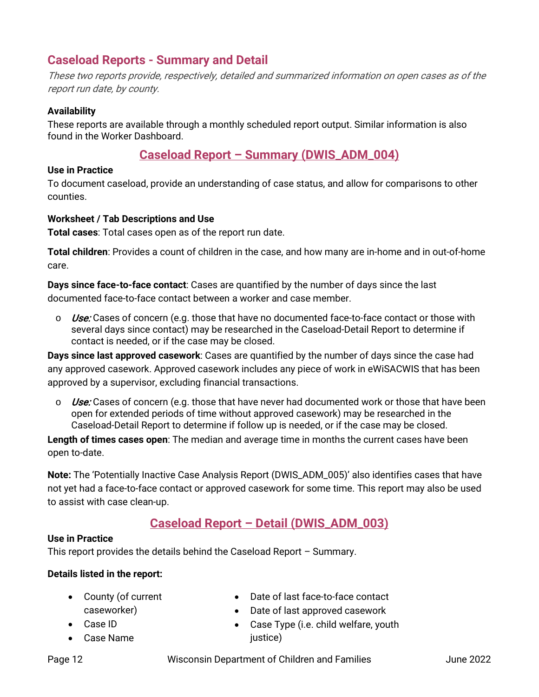### <span id="page-11-0"></span>**Caseload Reports - Summary and Detail**

These two reports provide, respectively, detailed and summarized information on open cases as of the report run date, by county.

#### **Availability**

These reports are available through a monthly scheduled report output. Similar information is also found in the Worker Dashboard.

#### **Caseload Report – Summary (DWIS\_ADM\_004)**

#### <span id="page-11-1"></span>**Use in Practice**

To document caseload, provide an understanding of case status, and allow for comparisons to other counties.

#### **Worksheet / Tab Descriptions and Use**

**Total cases**: Total cases open as of the report run date.

**Total children**: Provides a count of children in the case, and how many are in-home and in out-of-home care.

**Days since face-to-face contact**: Cases are quantified by the number of days since the last documented face-to-face contact between a worker and case member.

 $\circ$  Use: Cases of concern (e.g. those that have no documented face-to-face contact or those with several days since contact) may be researched in the Caseload-Detail Report to determine if contact is needed, or if the case may be closed.

**Days since last approved casework**: Cases are quantified by the number of days since the case had any approved casework. Approved casework includes any piece of work in eWiSACWIS that has been approved by a supervisor, excluding financial transactions.

 $\circ$  Use: Cases of concern (e.g. those that have never had documented work or those that have been open for extended periods of time without approved casework) may be researched in the Caseload-Detail Report to determine if follow up is needed, or if the case may be closed.

**Length of times cases open**: The median and average time in months the current cases have been open to-date.

**Note:** The 'Potentially Inactive Case Analysis Report (DWIS\_ADM\_005)' also identifies cases that have not yet had a face-to-face contact or approved casework for some time. This report may also be used to assist with case clean-up.

### **Caseload Report – Detail (DWIS\_ADM\_003)**

#### <span id="page-11-2"></span>**Use in Practice**

This report provides the details behind the Caseload Report – Summary.

#### **Details listed in the report:**

- County (of current caseworker)
- Case ID
- Case Name
- Date of last face-to-face contact
- Date of last approved casework
- Case Type (i.e. child welfare, youth justice)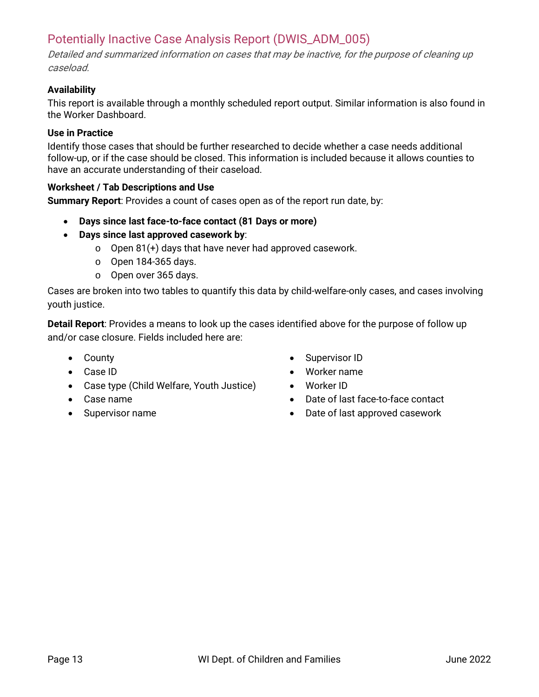### <span id="page-12-0"></span>Potentially Inactive Case Analysis Report (DWIS\_ADM\_005)

Detailed and summarized information on cases that may be inactive, for the purpose of cleaning up caseload.

#### **Availability**

This report is available through a monthly scheduled report output. Similar information is also found in the Worker Dashboard.

#### **Use in Practice**

Identify those cases that should be further researched to decide whether a case needs additional follow-up, or if the case should be closed. This information is included because it allows counties to have an accurate understanding of their caseload.

#### **Worksheet / Tab Descriptions and Use**

**Summary Report**: Provides a count of cases open as of the report run date, by:

- **Days since last face-to-face contact (81 Days or more)**
- **Days since last approved casework by**:
	- o Open 81(+) days that have never had approved casework.
	- o Open 184-365 days.
	- o Open over 365 days.

Cases are broken into two tables to quantify this data by child-welfare-only cases, and cases involving youth justice.

**Detail Report**: Provides a means to look up the cases identified above for the purpose of follow up and/or case closure. Fields included here are:

- County
- Case ID
- Case type (Child Welfare, Youth Justice)
- Case name
- Supervisor name
- Supervisor ID
- Worker name
- Worker ID
- Date of last face-to-face contact
- Date of last approved casework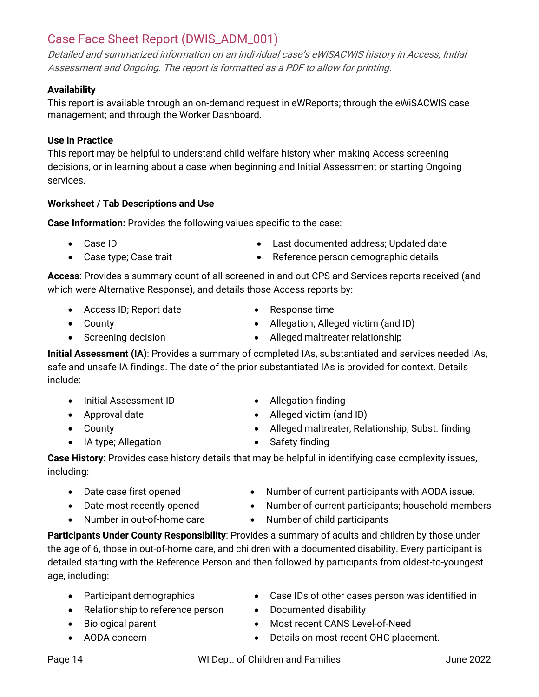### <span id="page-13-0"></span>Case Face Sheet Report (DWIS\_ADM\_001)

Detailed and summarized information on an individual case's eWiSACWIS history in Access, Initial Assessment and Ongoing. The report is formatted as a PDF to allow for printing.

### **Availability**

This report is available through an on-demand request in eWReports; through the eWiSACWIS case management; and through the Worker Dashboard.

### **Use in Practice**

This report may be helpful to understand child welfare history when making Access screening decisions, or in learning about a case when beginning and Initial Assessment or starting Ongoing services.

### **Worksheet / Tab Descriptions and Use**

**Case Information:** Provides the following values specific to the case:

- Case ID
- Case type; Case trait
- Last documented address; Updated date
- Reference person demographic details

**Access**: Provides a summary count of all screened in and out CPS and Services reports received (and which were Alternative Response), and details those Access reports by:

- Access ID; Report date
- County
- Screening decision
- Response time
- Allegation; Alleged victim (and ID)
- Alleged maltreater relationship

**Initial Assessment (IA)**: Provides a summary of completed IAs, substantiated and services needed IAs, safe and unsafe IA findings. The date of the prior substantiated IAs is provided for context. Details include:

- Initial Assessment ID
- Approval date
- County
- IA type; Allegation
- Allegation finding
- Alleged victim (and ID)
- Alleged maltreater; Relationship; Subst. finding
- Safety finding

**Case History**: Provides case history details that may be helpful in identifying case complexity issues, including:

- Date case first opened
- Number of current participants with AODA issue.
- Number of current participants; household members
- Date most recently opened • Number in out-of-home care
- Number of child participants

**Participants Under County Responsibility**: Provides a summary of adults and children by those under the age of 6, those in out-of-home care, and children with a documented disability. Every participant is detailed starting with the Reference Person and then followed by participants from oldest-to-youngest age, including:

- Participant demographics
- Relationship to reference person
- Biological parent
- AODA concern
- Case IDs of other cases person was identified in
- Documented disability
- Most recent CANS Level-of-Need
- Details on most-recent OHC placement.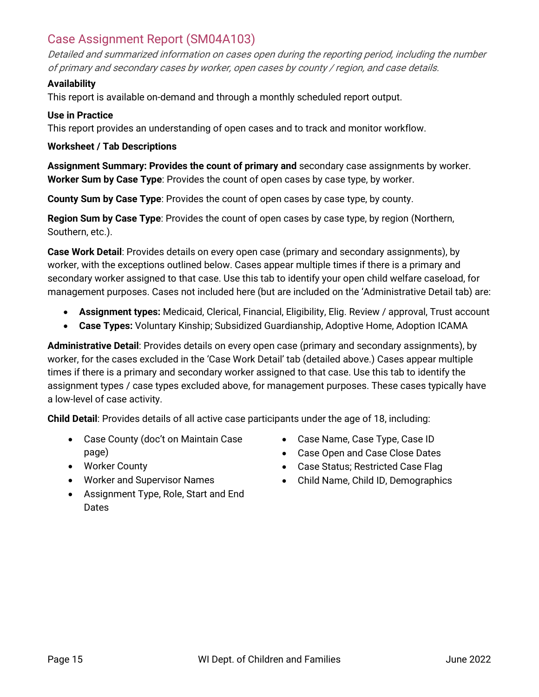### <span id="page-14-0"></span>Case Assignment Report (SM04A103)

Detailed and summarized information on cases open during the reporting period, including the number of primary and secondary cases by worker, open cases by county / region, and case details.

#### **Availability**

This report is available on-demand and through a monthly scheduled report output.

#### **Use in Practice**

This report provides an understanding of open cases and to track and monitor workflow.

#### **Worksheet / Tab Descriptions**

**Assignment Summary: Provides the count of primary and** secondary case assignments by worker. **Worker Sum by Case Type**: Provides the count of open cases by case type, by worker.

**County Sum by Case Type**: Provides the count of open cases by case type, by county.

**Region Sum by Case Type**: Provides the count of open cases by case type, by region (Northern, Southern, etc.).

**Case Work Detail**: Provides details on every open case (primary and secondary assignments), by worker, with the exceptions outlined below. Cases appear multiple times if there is a primary and secondary worker assigned to that case. Use this tab to identify your open child welfare caseload, for management purposes. Cases not included here (but are included on the 'Administrative Detail tab) are:

- **Assignment types:** Medicaid, Clerical, Financial, Eligibility, Elig. Review / approval, Trust account
- **Case Types:** Voluntary Kinship; Subsidized Guardianship, Adoptive Home, Adoption ICAMA

**Administrative Detail**: Provides details on every open case (primary and secondary assignments), by worker, for the cases excluded in the 'Case Work Detail' tab (detailed above.) Cases appear multiple times if there is a primary and secondary worker assigned to that case. Use this tab to identify the assignment types / case types excluded above, for management purposes. These cases typically have a low-level of case activity.

**Child Detail**: Provides details of all active case participants under the age of 18, including:

- Case County (doc't on Maintain Case page)
- Worker County
- Worker and Supervisor Names
- Assignment Type, Role, Start and End **Dates**
- Case Name, Case Type, Case ID
- Case Open and Case Close Dates
- Case Status; Restricted Case Flag
- Child Name, Child ID, Demographics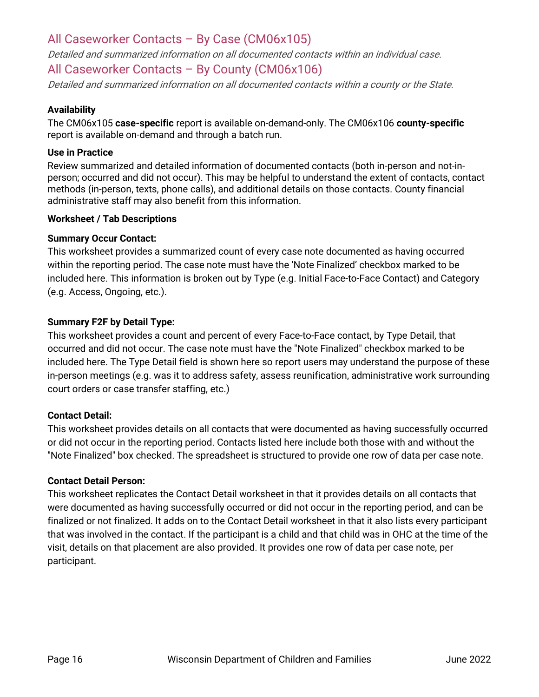### <span id="page-15-0"></span>All Caseworker Contacts – By Case (CM06x105)

Detailed and summarized information on all documented contacts within an individual case.

### <span id="page-15-1"></span>All Caseworker Contacts – By County (CM06x106)

Detailed and summarized information on all documented contacts within a county or the State.

#### **Availability**

The CM06x105 **case-specific** report is available on-demand-only. The CM06x106 **county-specific** report is available on-demand and through a batch run.

#### **Use in Practice**

Review summarized and detailed information of documented contacts (both in-person and not-inperson; occurred and did not occur). This may be helpful to understand the extent of contacts, contact methods (in-person, texts, phone calls), and additional details on those contacts. County financial administrative staff may also benefit from this information.

#### **Worksheet / Tab Descriptions**

#### **Summary Occur Contact:**

This worksheet provides a summarized count of every case note documented as having occurred within the reporting period. The case note must have the 'Note Finalized' checkbox marked to be included here. This information is broken out by Type (e.g. Initial Face-to-Face Contact) and Category (e.g. Access, Ongoing, etc.).

#### **Summary F2F by Detail Type:**

This worksheet provides a count and percent of every Face-to-Face contact, by Type Detail, that occurred and did not occur. The case note must have the "Note Finalized" checkbox marked to be included here. The Type Detail field is shown here so report users may understand the purpose of these in-person meetings (e.g. was it to address safety, assess reunification, administrative work surrounding court orders or case transfer staffing, etc.)

#### **Contact Detail:**

This worksheet provides details on all contacts that were documented as having successfully occurred or did not occur in the reporting period. Contacts listed here include both those with and without the "Note Finalized" box checked. The spreadsheet is structured to provide one row of data per case note.

#### **Contact Detail Person:**

This worksheet replicates the Contact Detail worksheet in that it provides details on all contacts that were documented as having successfully occurred or did not occur in the reporting period, and can be finalized or not finalized. It adds on to the Contact Detail worksheet in that it also lists every participant that was involved in the contact. If the participant is a child and that child was in OHC at the time of the visit, details on that placement are also provided. It provides one row of data per case note, per participant.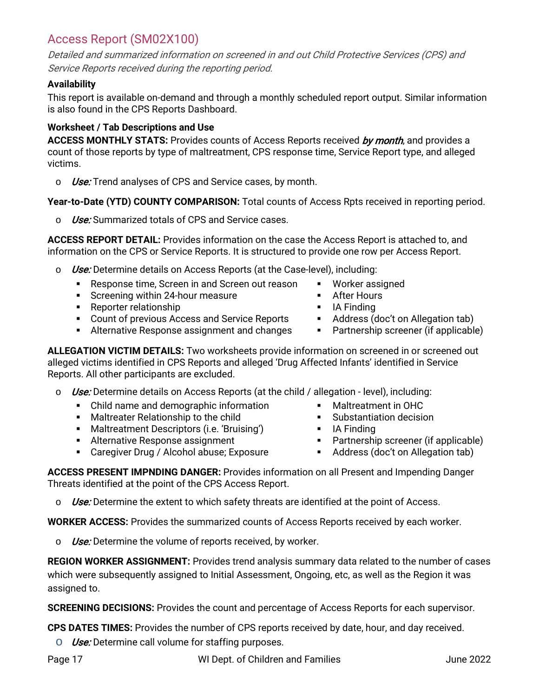### <span id="page-16-0"></span>Access Report (SM02X100)

Detailed and summarized information on screened in and out Child Protective Services (CPS) and Service Reports received during the reporting period.

#### **Availability**

This report is available on-demand and through a monthly scheduled report output. Similar information is also found in the CPS Reports Dashboard.

#### **Worksheet / Tab Descriptions and Use**

ACCESS MONTHLY STATS: Provides counts of Access Reports received by month, and provides a count of those reports by type of maltreatment, CPS response time, Service Report type, and alleged victims.

 $\circ$  *Use*: Trend analyses of CPS and Service cases, by month.

**Year-to-Date (YTD) COUNTY COMPARISON:** Total counts of Access Rpts received in reporting period.

o Use: Summarized totals of CPS and Service cases.

**ACCESS REPORT DETAIL:** Provides information on the case the Access Report is attached to, and information on the CPS or Service Reports. It is structured to provide one row per Access Report.

- $\circ$  *Use:* Determine details on Access Reports (at the Case-level), including:
	- **Response time, Screen in and Screen out reason**
	- **Screening within 24-hour measure**
	- **Reporter relationship**
	- **Count of previous Access and Service Reports**
	- **Alternative Response assignment and changes**

**ALLEGATION VICTIM DETAILS:** Two worksheets provide information on screened in or screened out alleged victims identified in CPS Reports and alleged 'Drug Affected Infants' identified in Service Reports. All other participants are excluded.

- $\circ$  Use: Determine details on Access Reports (at the child / allegation level), including:
	- Child name and demographic information
	- **Maltreater Relationship to the child**
	- Maltreatment Descriptors (i.e. 'Bruising')
	- **Alternative Response assignment**
	- Caregiver Drug / Alcohol abuse; Exposure
- Worker assigned **After Hours**
- $I$  IA Finding
- **Address (doc't on Allegation tab)**
- **Partnership screener (if applicable)**
- Maltreatment in OHC **Substantiation decision**
- **I** IA Finding
- **Partnership screener (if applicable)**
- Address (doc't on Allegation tab)

**ACCESS PRESENT IMPNDING DANGER:** Provides information on all Present and Impending Danger Threats identified at the point of the CPS Access Report.

 $\circ$  Use: Determine the extent to which safety threats are identified at the point of Access.

**WORKER ACCESS:** Provides the summarized counts of Access Reports received by each worker.

 $\circ$  *Use:* Determine the volume of reports received, by worker.

**REGION WORKER ASSIGNMENT:** Provides trend analysis summary data related to the number of cases which were subsequently assigned to Initial Assessment, Ongoing, etc, as well as the Region it was assigned to.

**SCREENING DECISIONS:** Provides the count and percentage of Access Reports for each supervisor.

**CPS DATES TIMES:** Provides the number of CPS reports received by date, hour, and day received.

 $\circ$  *Use*: Determine call volume for staffing purposes.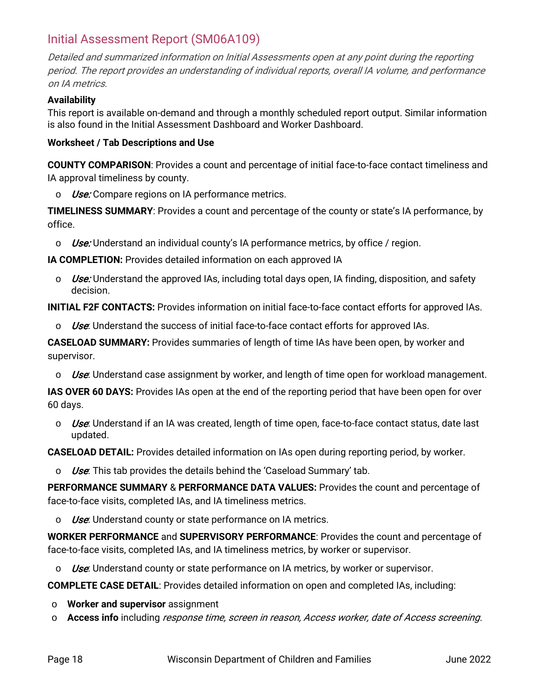### <span id="page-17-0"></span>Initial Assessment Report (SM06A109)

Detailed and summarized information on Initial Assessments open at any point during the reporting period. The report provides an understanding of individual reports, overall IA volume, and performance on IA metrics.

#### **Availability**

This report is available on-demand and through a monthly scheduled report output. Similar information is also found in the Initial Assessment Dashboard and Worker Dashboard.

#### **Worksheet / Tab Descriptions and Use**

**COUNTY COMPARISON**: Provides a count and percentage of initial face-to-face contact timeliness and IA approval timeliness by county.

 $\circ$  *Use:* Compare regions on IA performance metrics.

**TIMELINESS SUMMARY**: Provides a count and percentage of the county or state's IA performance, by office.

 $\circ$  Use: Understand an individual county's IA performance metrics, by office / region.

**IA COMPLETION:** Provides detailed information on each approved IA

 $\circ$  Use: Understand the approved IAs, including total days open, IA finding, disposition, and safety decision.

**INITIAL F2F CONTACTS:** Provides information on initial face-to-face contact efforts for approved IAs.

 $\circ$  Use: Understand the success of initial face-to-face contact efforts for approved IAs.

**CASELOAD SUMMARY:** Provides summaries of length of time IAs have been open, by worker and supervisor.

 $\circ$  Use: Understand case assignment by worker, and length of time open for workload management.

**IAS OVER 60 DAYS:** Provides IAs open at the end of the reporting period that have been open for over 60 days.

 $\circ$  Use: Understand if an IA was created, length of time open, face-to-face contact status, date last updated.

**CASELOAD DETAIL:** Provides detailed information on IAs open during reporting period, by worker.

 $\circ$  Use. This tab provides the details behind the 'Caseload Summary' tab.

**PERFORMANCE SUMMARY** & **PERFORMANCE DATA VALUES:** Provides the count and percentage of face-to-face visits, completed IAs, and IA timeliness metrics.

 $\circ$  *Use*: Understand county or state performance on IA metrics.

**WORKER PERFORMANCE** and **SUPERVISORY PERFORMANCE**: Provides the count and percentage of face-to-face visits, completed IAs, and IA timeliness metrics, by worker or supervisor.

 $\circ$  Use: Understand county or state performance on IA metrics, by worker or supervisor.

**COMPLETE CASE DETAIL**: Provides detailed information on open and completed IAs, including:

- o **Worker and supervisor** assignment
- o **Access info** including response time, screen in reason, Access worker, date of Access screening.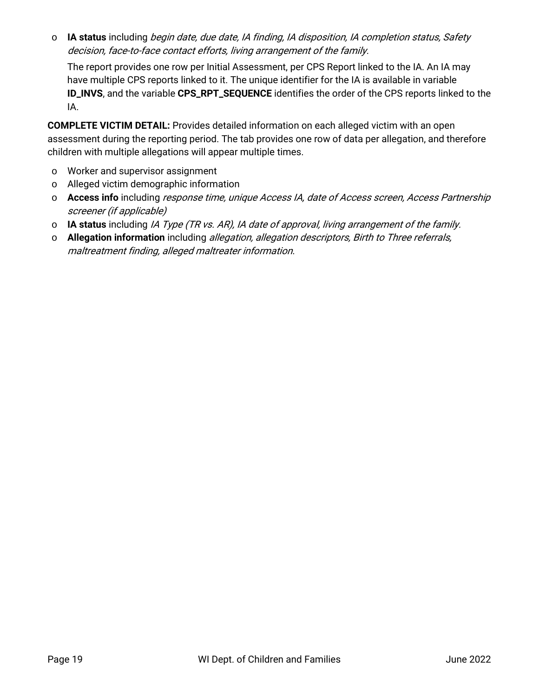o **IA status** including begin date, due date, IA finding, IA disposition, IA completion status, Safety decision, face-to-face contact efforts, living arrangement of the family.

The report provides one row per Initial Assessment, per CPS Report linked to the IA. An IA may have multiple CPS reports linked to it. The unique identifier for the IA is available in variable **ID\_INVS**, and the variable **CPS\_RPT\_SEQUENCE** identifies the order of the CPS reports linked to the IA.

**COMPLETE VICTIM DETAIL:** Provides detailed information on each alleged victim with an open assessment during the reporting period. The tab provides one row of data per allegation, and therefore children with multiple allegations will appear multiple times.

- o Worker and supervisor assignment
- o Alleged victim demographic information
- o **Access info** including response time, unique Access IA, date of Access screen, Access Partnership screener (if applicable)
- o **IA status** including IA Type (TR vs. AR), IA date of approval, living arrangement of the family.
- o **Allegation information** including allegation, allegation descriptors, Birth to Three referrals, maltreatment finding, alleged maltreater information.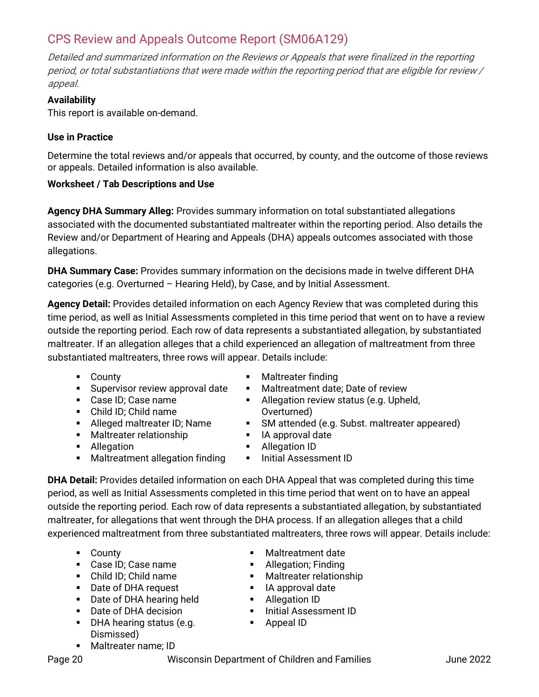### <span id="page-19-0"></span>CPS Review and Appeals Outcome Report (SM06A129)

Detailed and summarized information on the Reviews or Appeals that were finalized in the reporting period, or total substantiations that were made within the reporting period that are eligible for review / appeal.

#### **Availability**

This report is available on-demand.

#### **Use in Practice**

Determine the total reviews and/or appeals that occurred, by county, and the outcome of those reviews or appeals. Detailed information is also available.

#### **Worksheet / Tab Descriptions and Use**

**Agency DHA Summary Alleg:** Provides summary information on total substantiated allegations associated with the documented substantiated maltreater within the reporting period. Also details the Review and/or Department of Hearing and Appeals (DHA) appeals outcomes associated with those allegations.

**DHA Summary Case:** Provides summary information on the decisions made in twelve different DHA categories (e.g. Overturned – Hearing Held), by Case, and by Initial Assessment.

**Agency Detail:** Provides detailed information on each Agency Review that was completed during this time period, as well as Initial Assessments completed in this time period that went on to have a review outside the reporting period. Each row of data represents a substantiated allegation, by substantiated maltreater. If an allegation alleges that a child experienced an allegation of maltreatment from three substantiated maltreaters, three rows will appear. Details include:

- **-** County
- **Supervisor review approval date**
- Case ID; Case name
- Child ID; Child name
- Alleged maltreater ID; Name
- **Maltreater relationship**
- **Allegation**
- **•** Maltreatment allegation finding
- **Maltreater finding**
- **Maltreatment date: Date of review**
- **Allegation review status (e.g. Upheld,** Overturned)
- **SM** attended (e.g. Subst. maltreater appeared)
- **I** lA approval date
- **Allegation ID**
- **Initial Assessment ID**

**DHA Detail:** Provides detailed information on each DHA Appeal that was completed during this time period, as well as Initial Assessments completed in this time period that went on to have an appeal outside the reporting period. Each row of data represents a substantiated allegation, by substantiated maltreater, for allegations that went through the DHA process. If an allegation alleges that a child experienced maltreatment from three substantiated maltreaters, three rows will appear. Details include:

- **-** County
- Case ID; Case name
- Child ID; Child name
- Date of DHA request
- **Date of DHA hearing held**
- Date of DHA decision
- **DHA hearing status (e.g.** Dismissed)
- Maltreater name; ID
- Maltreatment date
- **Allegation; Finding**
- **Maltreater relationship**
- **I** IA approval date
- **Allegation ID**
- **Initial Assessment ID**
- **Appeal ID**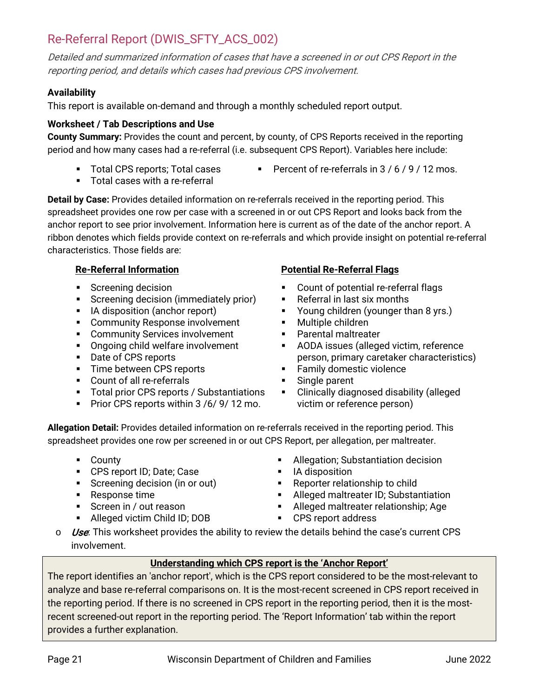### <span id="page-20-0"></span>Re-Referral Report (DWIS\_SFTY\_ACS\_002)

Detailed and summarized information of cases that have a screened in or out CPS Report in the reporting period, and details which cases had previous CPS involvement.

#### **Availability**

This report is available on-demand and through a monthly scheduled report output.

#### **Worksheet / Tab Descriptions and Use**

**County Summary:** Provides the count and percent, by county, of CPS Reports received in the reporting period and how many cases had a re-referral (i.e. subsequent CPS Report). Variables here include:

- **Total CPS reports; Total cases**
- Percent of re-referrals in  $3/6/9/12$  mos.
- Total cases with a re-referral

**Detail by Case:** Provides detailed information on re-referrals received in the reporting period. This spreadsheet provides one row per case with a screened in or out CPS Report and looks back from the anchor report to see prior involvement. Information here is current as of the date of the anchor report. A ribbon denotes which fields provide context on re-referrals and which provide insight on potential re-referral characteristics. Those fields are:

#### **Re-Referral Information**

- Screening decision
- **Screening decision (immediately prior)**
- **I** IA disposition (anchor report)
- **EXECOMMUNITY Response involvement**
- **EXECOMMUNITY Services involvement**
- Ongoing child welfare involvement
- Date of CPS reports
- **Time between CPS reports**
- Count of all re-referrals
- **Total prior CPS reports / Substantiations**
- Prior CPS reports within  $3/6/9/12$  mo.

#### **Potential Re-Referral Flags**

- Count of potential re-referral flags
- Referral in last six months
- **•** Young children (younger than 8 yrs.)
- **Multiple children**
- **Parental maltreater**
- **AODA** issues (alleged victim, reference person, primary caretaker characteristics)
- **Family domestic violence**
- **Single parent**
- **EXECLINICALLY diagnosed disability (alleged)** victim or reference person)

**Allegation Detail:** Provides detailed information on re-referrals received in the reporting period. This spreadsheet provides one row per screened in or out CPS Report, per allegation, per maltreater.

- **-** County
- **CPS report ID; Date; Case**
- **Screening decision (in or out)**
- Response time
- Screen in / out reason
- **Alleged victim Child ID; DOB**
- Allegation; Substantiation decision
- IA disposition
- Reporter relationship to child
- Alleged maltreater ID; Substantiation
- Alleged maltreater relationship; Age
- CPS report address
- $\circ$  *Use*. This worksheet provides the ability to review the details behind the case's current CPS involvement.

#### **Understanding which CPS report is the 'Anchor Report'**

The report identifies an 'anchor report', which is the CPS report considered to be the most-relevant to analyze and base re-referral comparisons on. It is the most-recent screened in CPS report received in the reporting period. If there is no screened in CPS report in the reporting period, then it is the mostrecent screened-out report in the reporting period. The 'Report Information' tab within the report provides a further explanation.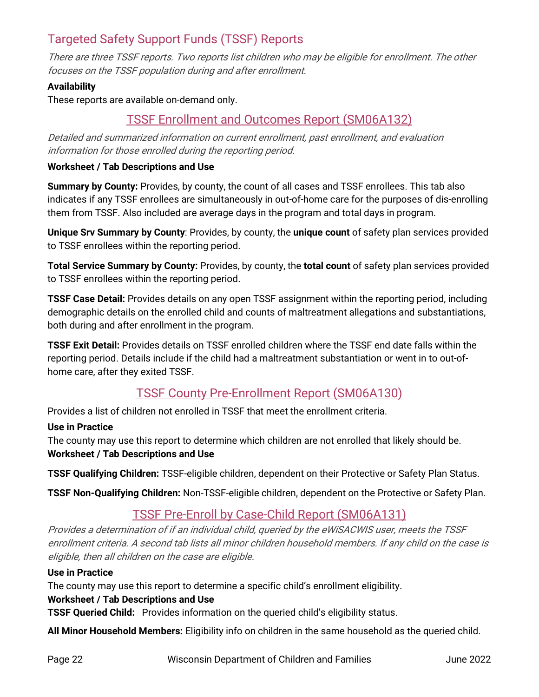### <span id="page-21-0"></span>Targeted Safety Support Funds (TSSF) Reports

There are three TSSF reports. Two reports list children who may be eligible for enrollment. The other focuses on the TSSF population during and after enrollment.

#### **Availability**

<span id="page-21-1"></span>These reports are available on-demand only.

### TSSF Enrollment and Outcomes Report (SM06A132)

Detailed and summarized information on current enrollment, past enrollment, and evaluation information for those enrolled during the reporting period.

#### **Worksheet / Tab Descriptions and Use**

**Summary by County:** Provides, by county, the count of all cases and TSSF enrollees. This tab also indicates if any TSSF enrollees are simultaneously in out-of-home care for the purposes of dis-enrolling them from TSSF. Also included are average days in the program and total days in program.

**Unique Srv Summary by County**: Provides, by county, the **unique count** of safety plan services provided to TSSF enrollees within the reporting period.

**Total Service Summary by County:** Provides, by county, the **total count** of safety plan services provided to TSSF enrollees within the reporting period.

**TSSF Case Detail:** Provides details on any open TSSF assignment within the reporting period, including demographic details on the enrolled child and counts of maltreatment allegations and substantiations, both during and after enrollment in the program.

**TSSF Exit Detail:** Provides details on TSSF enrolled children where the TSSF end date falls within the reporting period. Details include if the child had a maltreatment substantiation or went in to out-ofhome care, after they exited TSSF.

### TSSF County Pre-Enrollment Report (SM06A130)

<span id="page-21-2"></span>Provides a list of children not enrolled in TSSF that meet the enrollment criteria.

#### **Use in Practice**

The county may use this report to determine which children are not enrolled that likely should be. **Worksheet / Tab Descriptions and Use**

**TSSF Qualifying Children:** TSSF-eligible children, dependent on their Protective or Safety Plan Status.

**TSSF Non-Qualifying Children:** Non-TSSF-eligible children, dependent on the Protective or Safety Plan.

### TSSF Pre-Enroll by Case-Child Report (SM06A131)

<span id="page-21-3"></span>Provides a determination of if an individual child, queried by the eWiSACWIS user, meets the TSSF enrollment criteria. A second tab lists all minor children household members. If any child on the case is eligible, then all children on the case are eligible.

#### **Use in Practice**

The county may use this report to determine a specific child's enrollment eligibility.

#### **Worksheet / Tab Descriptions and Use**

**TSSF Queried Child:** Provides information on the queried child's eligibility status.

**All Minor Household Members:** Eligibility info on children in the same household as the queried child.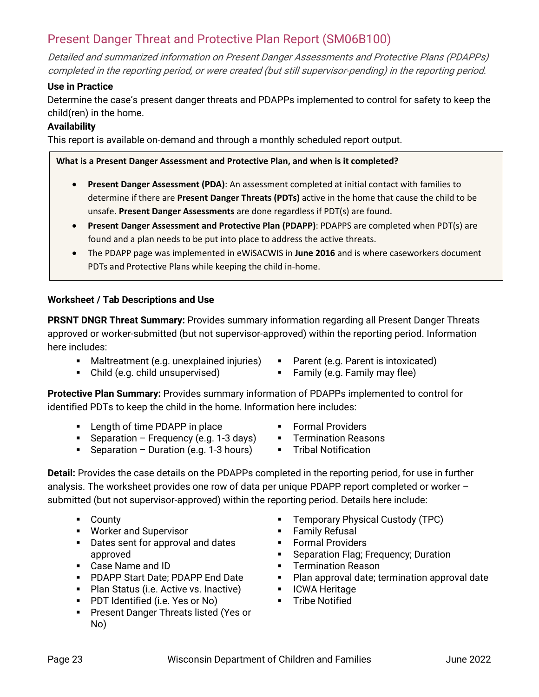### <span id="page-22-0"></span>Present Danger Threat and Protective Plan Report (SM06B100)

Detailed and summarized information on Present Danger Assessments and Protective Plans (PDAPPs) completed in the reporting period, or were created (but still supervisor-pending) in the reporting period.

#### **Use in Practice**

Determine the case's present danger threats and PDAPPs implemented to control for safety to keep the child(ren) in the home.

#### **Availability**

This report is available on-demand and through a monthly scheduled report output.

#### **What is a Present Danger Assessment and Protective Plan, and when is it completed?**

- **Present Danger Assessment (PDA)**: An assessment completed at initial contact with families to determine if there are **Present Danger Threats (PDTs)** active in the home that cause the child to be unsafe. **Present Danger Assessments** are done regardless if PDT(s) are found.
- **Present Danger Assessment and Protective Plan (PDAPP)**: PDAPPS are completed when PDT(s) are found and a plan needs to be put into place to address the active threats.
- The PDAPP page was implemented in eWiSACWIS in **June 2016** and is where caseworkers document PDTs and Protective Plans while keeping the child in-home.

#### **Worksheet / Tab Descriptions and Use**

**PRSNT DNGR Threat Summary:** Provides summary information regarding all Present Danger Threats approved or worker-submitted (but not supervisor-approved) within the reporting period. Information here includes:

- Maltreatment (e.g. unexplained injuries)
- Child (e.g. child unsupervised)
- Parent (e.g. Parent is intoxicated)
- **Family (e.g. Family may flee)**
- **Protective Plan Summary:** Provides summary information of PDAPPs implemented to control for identified PDTs to keep the child in the home. Information here includes:
	- **EXECUTE:** Length of time PDAPP in place
	- **Separation Frequency (e.g. 1-3 days)**
	- **Separation Duration (e.g. 1-3 hours)**
- Formal Providers
- **F** Termination Reasons
- **Tribal Notification**

**Detail:** Provides the case details on the PDAPPs completed in the reporting period, for use in further analysis. The worksheet provides one row of data per unique PDAPP report completed or worker – submitted (but not supervisor-approved) within the reporting period. Details here include:

- **County**
- **Worker and Supervisor**
- Dates sent for approval and dates approved
- Case Name and ID
- **PDAPP Start Date: PDAPP End Date**
- **Plan Status (i.e. Active vs. Inactive)**
- **PDT Identified (i.e. Yes or No)**
- **Present Danger Threats listed (Yes or** No)
- **F** Temporary Physical Custody (TPC)
- Family Refusal
- **Formal Providers**
- **Separation Flag; Frequency; Duration**
- **F** Termination Reason
- Plan approval date; termination approval date
- **ICWA Heritage**
- **Tribe Notified**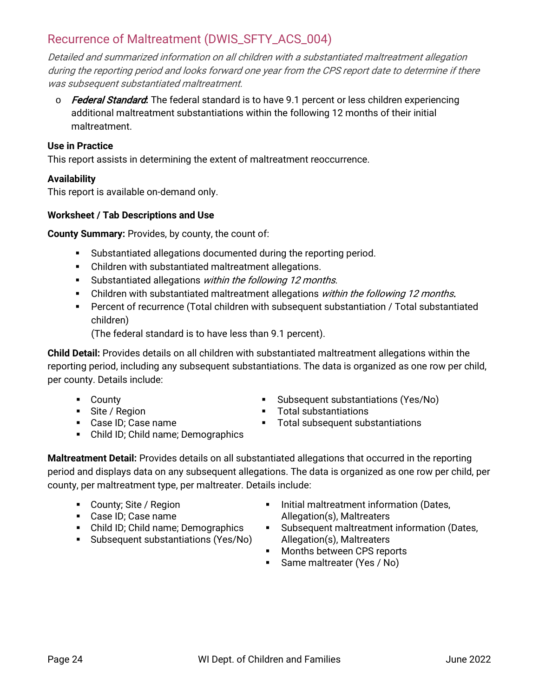### <span id="page-23-0"></span>Recurrence of Maltreatment (DWIS\_SFTY\_ACS\_004)

Detailed and summarized information on all children with a substantiated maltreatment allegation during the reporting period and looks forward one year from the CPS report date to determine if there was subsequent substantiated maltreatment.

o Federal Standard**:** The federal standard is to have 9.1 percent or less children experiencing additional maltreatment substantiations within the following 12 months of their initial maltreatment.

#### **Use in Practice**

This report assists in determining the extent of maltreatment reoccurrence.

#### **Availability**

This report is available on-demand only.

#### **Worksheet / Tab Descriptions and Use**

**County Summary:** Provides, by county, the count of:

- Substantiated allegations documented during the reporting period.
- Children with substantiated maltreatment allegations.
- Substantiated allegations within the following 12 months.
- Children with substantiated maltreatment allegations within the following 12 months.
- Percent of recurrence (Total children with subsequent substantiation / Total substantiated children)

(The federal standard is to have less than 9.1 percent).

**Child Detail:** Provides details on all children with substantiated maltreatment allegations within the reporting period, including any subsequent substantiations. The data is organized as one row per child, per county. Details include:

- **County**
- Site / Region
- Case ID; Case name
- Child ID; Child name; Demographics
- Subsequent substantiations (Yes/No)
- **Total substantiations**
- **Total subsequent substantiations**

**Maltreatment Detail:** Provides details on all substantiated allegations that occurred in the reporting period and displays data on any subsequent allegations. The data is organized as one row per child, per county, per maltreatment type, per maltreater. Details include:

- County; Site / Region
- Case ID; Case name
- Child ID; Child name; Demographics
- **Subsequent substantiations (Yes/No)**
- **Initial maltreatment information (Dates,** Allegation(s), Maltreaters
- Subsequent maltreatment information (Dates, Allegation(s), Maltreaters
- Months between CPS reports
- **Same maltreater (Yes / No)**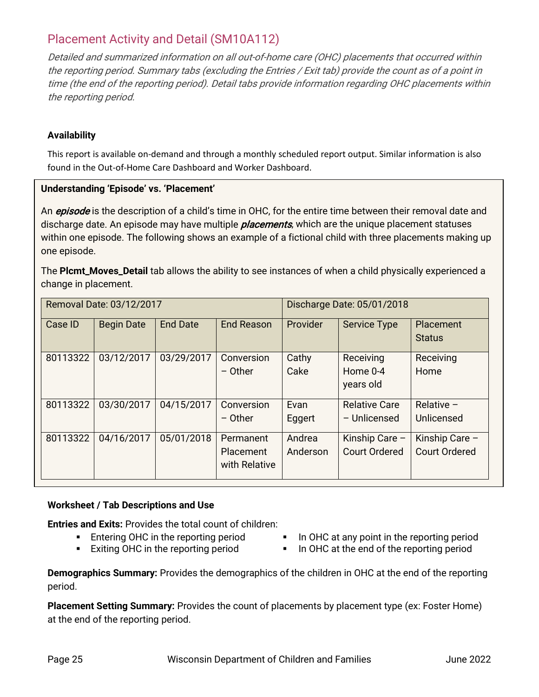### <span id="page-24-0"></span>Placement Activity and Detail (SM10A112)

Detailed and summarized information on all out-of-home care (OHC) placements that occurred within the reporting period. Summary tabs (excluding the Entries / Exit tab) provide the count as of a point in time (the end of the reporting period). Detail tabs provide information regarding OHC placements within the reporting period.

#### **Availability**

This report is available on-demand and through a monthly scheduled report output. Similar information is also found in the Out-of-Home Care Dashboard and Worker Dashboard.

#### **Understanding 'Episode' vs. 'Placement'**

An *episode* is the description of a child's time in OHC, for the entire time between their removal date and discharge date. An episode may have multiple *placements*, which are the unique placement statuses within one episode. The following shows an example of a fictional child with three placements making up one episode.

The **Plcmt\_Moves\_Detail** tab allows the ability to see instances of when a child physically experienced a change in placement.

| Removal Date: 03/12/2017 |                   |                 |                                                | Discharge Date: 05/01/2018 |                                        |                                        |
|--------------------------|-------------------|-----------------|------------------------------------------------|----------------------------|----------------------------------------|----------------------------------------|
| Case ID                  | <b>Begin Date</b> | <b>End Date</b> | <b>End Reason</b>                              | Provider                   | <b>Service Type</b>                    | Placement<br><b>Status</b>             |
| 80113322                 | 03/12/2017        | 03/29/2017      | Conversion<br>$-$ Other                        | Cathy<br>Cake              | Receiving<br>Home 0-4<br>years old     | Receiving<br>Home                      |
| 80113322                 | 03/30/2017        | 04/15/2017      | Conversion<br>$-$ Other                        | Evan<br>Eggert             | <b>Relative Care</b><br>- Unlicensed   | Relative $-$<br>Unlicensed             |
| 80113322                 | 04/16/2017        | 05/01/2018      | Permanent<br><b>Placement</b><br>with Relative | Andrea<br>Anderson         | Kinship Care -<br><b>Court Ordered</b> | Kinship Care -<br><b>Court Ordered</b> |

#### **Worksheet / Tab Descriptions and Use**

**Entries and Exits:** Provides the total count of children:

- **Entering OHC in the reporting period**
- **Exiting OHC in the reporting period**
- In OHC at any point in the reporting period
- In OHC at the end of the reporting period

**Demographics Summary:** Provides the demographics of the children in OHC at the end of the reporting period.

**Placement Setting Summary:** Provides the count of placements by placement type (ex: Foster Home) at the end of the reporting period.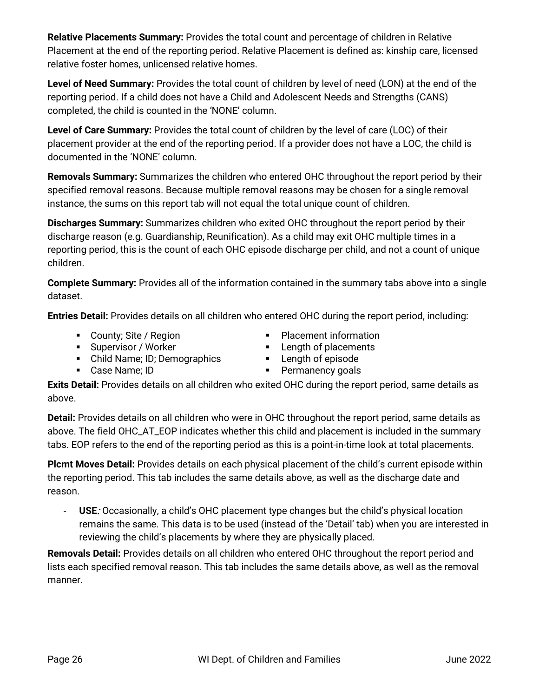**Relative Placements Summary:** Provides the total count and percentage of children in Relative Placement at the end of the reporting period. Relative Placement is defined as: kinship care, licensed relative foster homes, unlicensed relative homes.

**Level of Need Summary:** Provides the total count of children by level of need (LON) at the end of the reporting period. If a child does not have a Child and Adolescent Needs and Strengths (CANS) completed, the child is counted in the 'NONE' column.

**Level of Care Summary:** Provides the total count of children by the level of care (LOC) of their placement provider at the end of the reporting period. If a provider does not have a LOC, the child is documented in the 'NONE' column.

**Removals Summary:** Summarizes the children who entered OHC throughout the report period by their specified removal reasons. Because multiple removal reasons may be chosen for a single removal instance, the sums on this report tab will not equal the total unique count of children.

**Discharges Summary:** Summarizes children who exited OHC throughout the report period by their discharge reason (e.g. Guardianship, Reunification). As a child may exit OHC multiple times in a reporting period, this is the count of each OHC episode discharge per child, and not a count of unique children.

**Complete Summary:** Provides all of the information contained in the summary tabs above into a single dataset.

**Entries Detail:** Provides details on all children who entered OHC during the report period, including:

- County; Site / Region
- **Placement information**
- **Supervisor / Worker** Child Name; ID; Demographics
- **Length of placements Length of episode**
- 

Case Name; ID

**Permanency goals** 

**Exits Detail:** Provides details on all children who exited OHC during the report period, same details as above.

**Detail:** Provides details on all children who were in OHC throughout the report period, same details as above. The field OHC\_AT\_EOP indicates whether this child and placement is included in the summary tabs. EOP refers to the end of the reporting period as this is a point-in-time look at total placements.

**Plcmt Moves Detail:** Provides details on each physical placement of the child's current episode within the reporting period. This tab includes the same details above, as well as the discharge date and reason.

- **USE**: Occasionally, a child's OHC placement type changes but the child's physical location remains the same. This data is to be used (instead of the 'Detail' tab) when you are interested in reviewing the child's placements by where they are physically placed.

**Removals Detail:** Provides details on all children who entered OHC throughout the report period and lists each specified removal reason. This tab includes the same details above, as well as the removal manner.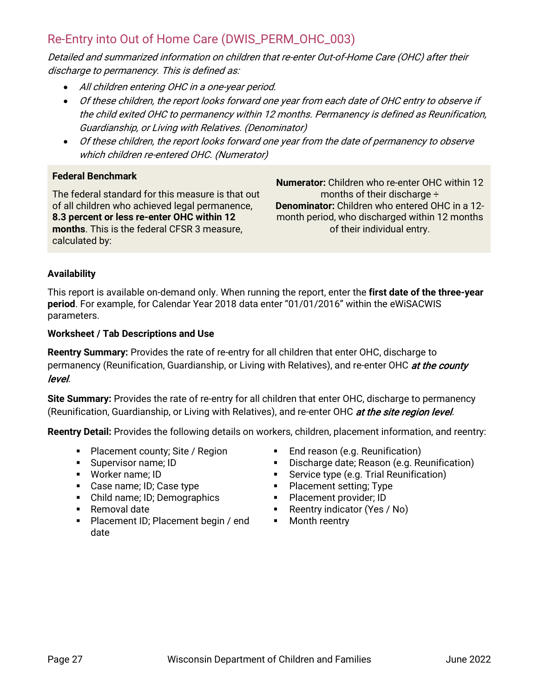### <span id="page-26-0"></span>Re-Entry into Out of Home Care (DWIS\_PERM\_OHC\_003)

Detailed and summarized information on children that re-enter Out-of-Home Care (OHC) after their discharge to permanency. This is defined as:

- All children entering OHC in a one-year period.
- Of these children, the report looks forward one year from each date of OHC entry to observe if the child exited OHC to permanency within 12 months. Permanency is defined as Reunification, Guardianship, or Living with Relatives. (Denominator)
- Of these children, the report looks forward one year from the date of permanency to observe which children re-entered OHC. (Numerator)

#### **Federal Benchmark**

The federal standard for this measure is that out of all children who achieved legal permanence, **8.3 percent or less re-enter OHC within 12 months**. This is the federal CFSR 3 measure, calculated by:

**Numerator:** Children who re-enter OHC within 12 months of their discharge ÷ **Denominator:** Children who entered OHC in a 12 month period, who discharged within 12 months of their individual entry.

#### **Availability**

This report is available on-demand only. When running the report, enter the **first date of the three-year period**. For example, for Calendar Year 2018 data enter "01/01/2016" within the eWiSACWIS parameters.

#### **Worksheet / Tab Descriptions and Use**

**Reentry Summary:** Provides the rate of re-entry for all children that enter OHC, discharge to permanency (Reunification, Guardianship, or Living with Relatives), and re-enter OHC at the county level.

**Site Summary:** Provides the rate of re-entry for all children that enter OHC, discharge to permanency (Reunification, Guardianship, or Living with Relatives), and re-enter OHC at the site region level.

**Reentry Detail:** Provides the following details on workers, children, placement information, and reentry:

- Placement county; Site / Region
- **Supervisor name; ID**
- Worker name; ID
- Case name; ID; Case type
- Child name; ID; Demographics
- Removal date
- Placement ID; Placement begin / end date
- End reason (e.g. Reunification)
- **Discharge date; Reason (e.g. Reunification)**
- **Service type (e.g. Trial Reunification)**
- Placement setting; Type
- **Placement provider; ID**
- **Reentry indicator (Yes / No)**
- Month reentry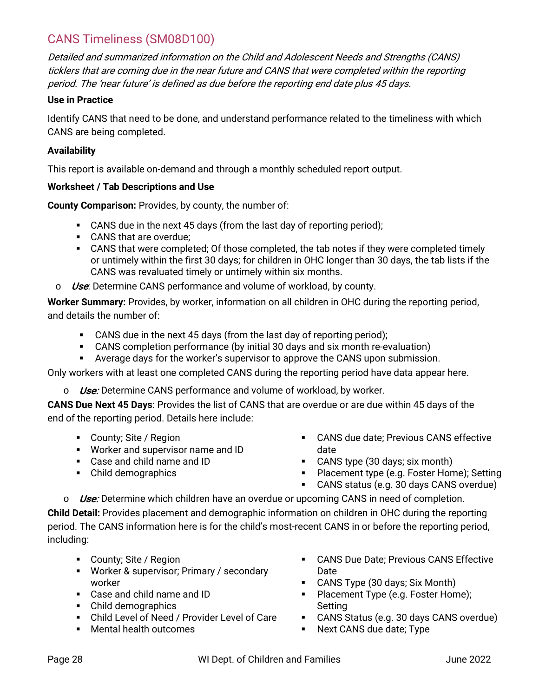### <span id="page-27-0"></span>CANS Timeliness (SM08D100)

Detailed and summarized information on the Child and Adolescent Needs and Strengths (CANS) ticklers that are coming due in the near future and CANS that were completed within the reporting period. The 'near future' is defined as due before the reporting end date plus 45 days.

#### **Use in Practice**

Identify CANS that need to be done, and understand performance related to the timeliness with which CANS are being completed.

#### **Availability**

This report is available on-demand and through a monthly scheduled report output.

#### **Worksheet / Tab Descriptions and Use**

**County Comparison:** Provides, by county, the number of:

- CANS due in the next 45 days (from the last day of reporting period);
- **CANS** that are overdue:
- CANS that were completed; Of those completed, the tab notes if they were completed timely or untimely within the first 30 days; for children in OHC longer than 30 days, the tab lists if the CANS was revaluated timely or untimely within six months.
- $\circ$  *Use*: Determine CANS performance and volume of workload, by county.

**Worker Summary:** Provides, by worker, information on all children in OHC during the reporting period, and details the number of:

- CANS due in the next 45 days (from the last day of reporting period);
- CANS completion performance (by initial 30 days and six month re-evaluation)
- **Average days for the worker's supervisor to approve the CANS upon submission.**

Only workers with at least one completed CANS during the reporting period have data appear here.

 $\circ$  Use: Determine CANS performance and volume of workload, by worker.

**CANS Due Next 45 Days**: Provides the list of CANS that are overdue or are due within 45 days of the end of the reporting period. Details here include:

- County; Site / Region
- Worker and supervisor name and ID
- Case and child name and ID
- Child demographics
- CANS due date; Previous CANS effective date
- CANS type (30 days; six month)
- **Placement type (e.g. Foster Home); Setting**
- CANS status (e.g. 30 days CANS overdue)

 $\circ$  Use: Determine which children have an overdue or upcoming CANS in need of completion. **Child Detail:** Provides placement and demographic information on children in OHC during the reporting period. The CANS information here is for the child's most-recent CANS in or before the reporting period, including:

- County; Site / Region
- **Worker & supervisor; Primary / secondary** worker
- Case and child name and ID
- Child demographics
- Child Level of Need / Provider Level of Care
- Mental health outcomes
- CANS Due Date; Previous CANS Effective Date
- CANS Type (30 days; Six Month)
- Placement Type (e.g. Foster Home); Setting
- CANS Status (e.g. 30 days CANS overdue)
- **Next CANS due date; Type**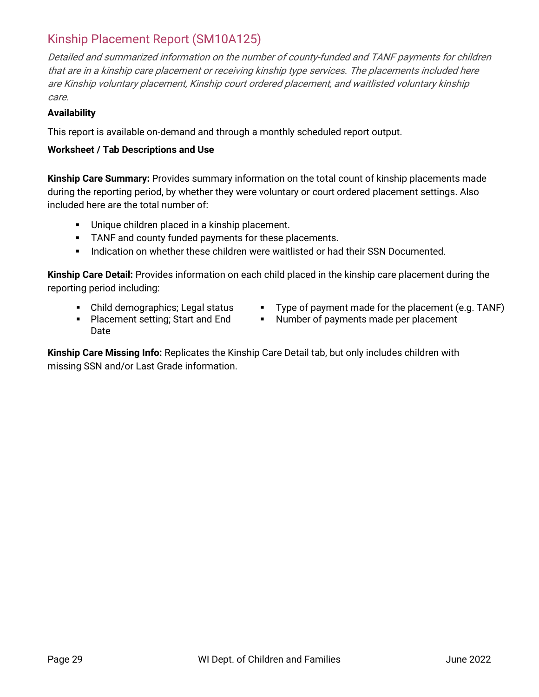### <span id="page-28-0"></span>Kinship Placement Report (SM10A125)

Detailed and summarized information on the number of county-funded and TANF payments for children that are in a kinship care placement or receiving kinship type services. The placements included here are Kinship voluntary placement, Kinship court ordered placement, and waitlisted voluntary kinship care.

#### **Availability**

This report is available on-demand and through a monthly scheduled report output.

#### **Worksheet / Tab Descriptions and Use**

**Kinship Care Summary:** Provides summary information on the total count of kinship placements made during the reporting period, by whether they were voluntary or court ordered placement settings. Also included here are the total number of:

- **Unique children placed in a kinship placement.**
- **TANF and county funded payments for these placements.**
- **Indication on whether these children were waitlisted or had their SSN Documented.**

**Kinship Care Detail:** Provides information on each child placed in the kinship care placement during the reporting period including:

- Child demographics; Legal status
- Type of payment made for the placement (e.g. TANF) **Number of payments made per placement**
- **Placement setting; Start and End** Date

**Kinship Care Missing Info:** Replicates the Kinship Care Detail tab, but only includes children with missing SSN and/or Last Grade information.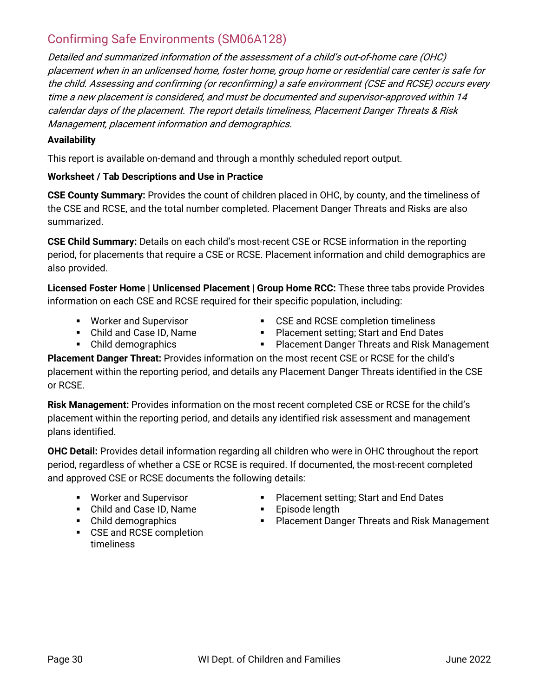### <span id="page-29-0"></span>Confirming Safe Environments (SM06A128)

Detailed and summarized information of the assessment of a child's out-of-home care (OHC) placement when in an unlicensed home, foster home, group home or residential care center is safe for the child. Assessing and confirming (or reconfirming) a safe environment (CSE and RCSE) occurs every time a new placement is considered, and must be documented and supervisor-approved within 14 calendar days of the placement. The report details timeliness, Placement Danger Threats & Risk Management, placement information and demographics.

#### **Availability**

This report is available on-demand and through a monthly scheduled report output.

#### **Worksheet / Tab Descriptions and Use in Practice**

**CSE County Summary:** Provides the count of children placed in OHC, by county, and the timeliness of the CSE and RCSE, and the total number completed. Placement Danger Threats and Risks are also summarized.

**CSE Child Summary:** Details on each child's most-recent CSE or RCSE information in the reporting period, for placements that require a CSE or RCSE. Placement information and child demographics are also provided.

**Licensed Foster Home | Unlicensed Placement | Group Home RCC:** These three tabs provide Provides information on each CSE and RCSE required for their specific population, including:

- **Worker and Supervisor**
- **CSE and RCSE completion timeliness**
- Child and Case ID, Name • Child demographics
- **Placement setting; Start and End Dates**
- **Placement Danger Threats and Risk Management**

**Placement Danger Threat:** Provides information on the most recent CSE or RCSE for the child's placement within the reporting period, and details any Placement Danger Threats identified in the CSE or RCSE.

**Risk Management:** Provides information on the most recent completed CSE or RCSE for the child's placement within the reporting period, and details any identified risk assessment and management plans identified.

**OHC Detail:** Provides detail information regarding all children who were in OHC throughout the report period, regardless of whether a CSE or RCSE is required. If documented, the most-recent completed and approved CSE or RCSE documents the following details:

- **Worker and Supervisor**
- Child and Case ID, Name
- Child demographics
- **CSE and RCSE completion** timeliness
- Placement setting; Start and End Dates
- **Episode length**
- **Placement Danger Threats and Risk Management**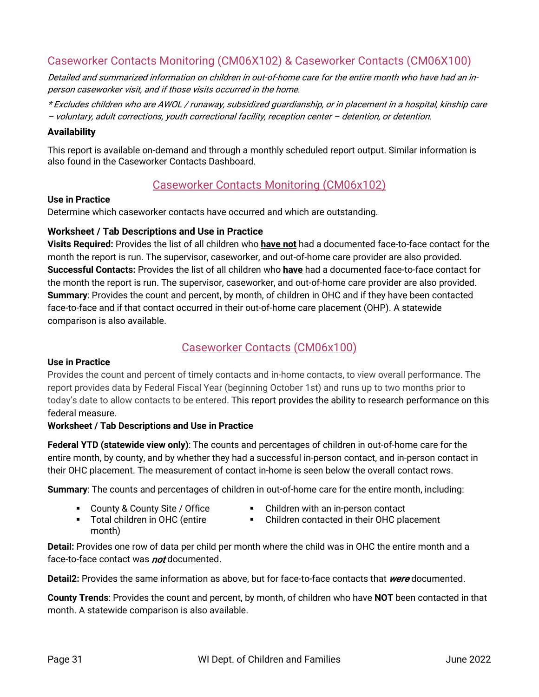### <span id="page-30-0"></span>Caseworker Contacts Monitoring (CM06X102) & Caseworker Contacts (CM06X100)

Detailed and summarized information on children in out-of-home care for the entire month who have had an inperson caseworker visit, and if those visits occurred in the home.

\* Excludes children who are AWOL / runaway, subsidized guardianship, or in placement in a hospital, kinship care – voluntary, adult corrections, youth correctional facility, reception center – detention, or detention.

#### **Availability**

This report is available on-demand and through a monthly scheduled report output. Similar information is also found in the Caseworker Contacts Dashboard.

### Caseworker Contacts Monitoring (CM06x102)

#### **Use in Practice**

Determine which caseworker contacts have occurred and which are outstanding.

#### **Worksheet / Tab Descriptions and Use in Practice**

**Visits Required:** Provides the list of all children who **have not** had a documented face-to-face contact for the month the report is run. The supervisor, caseworker, and out-of-home care provider are also provided. **Successful Contacts:** Provides the list of all children who **have** had a documented face-to-face contact for the month the report is run. The supervisor, caseworker, and out-of-home care provider are also provided. **Summary**: Provides the count and percent, by month, of children in OHC and if they have been contacted face-to-face and if that contact occurred in their out-of-home care placement (OHP). A statewide comparison is also available.

#### Caseworker Contacts (CM06x100)

#### **Use in Practice**

Provides the count and percent of timely contacts and in-home contacts, to view overall performance. The report provides data by Federal Fiscal Year (beginning October 1st) and runs up to two months prior to today's date to allow contacts to be entered. This report provides the ability to research performance on this federal measure.

#### **Worksheet / Tab Descriptions and Use in Practice**

**Federal YTD (statewide view only)**: The counts and percentages of children in out-of-home care for the entire month, by county, and by whether they had a successful in-person contact, and in-person contact in their OHC placement. The measurement of contact in-home is seen below the overall contact rows.

**Summary**: The counts and percentages of children in out-of-home care for the entire month, including:

- County & County Site / Office
- Children with an in-person contact
- Children contacted in their OHC placement
- Total children in OHC (entire month)
- **Detail:** Provides one row of data per child per month where the child was in OHC the entire month and a face-to-face contact was **not** documented.

**Detail2:** Provides the same information as above, but for face-to-face contacts that *were* documented.

**County Trends**: Provides the count and percent, by month, of children who have **NOT** been contacted in that month. A statewide comparison is also available.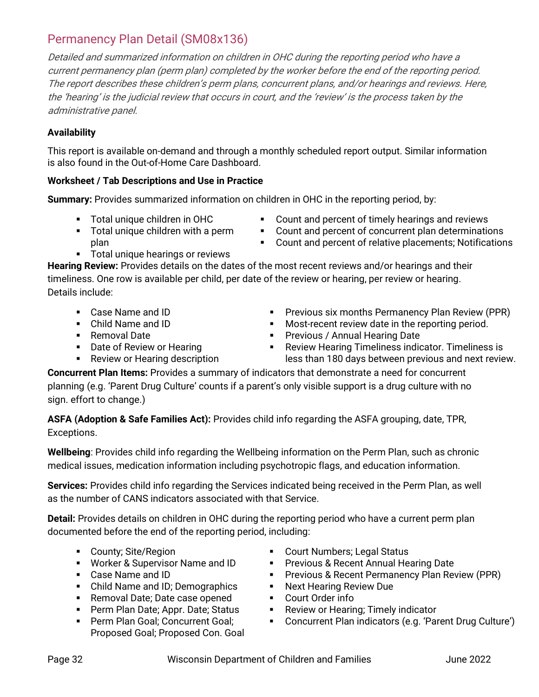## <span id="page-31-0"></span>Permanency Plan Detail (SM08x136)

Detailed and summarized information on children in OHC during the reporting period who have a current permanency plan (perm plan) completed by the worker before the end of the reporting period. The report describes these children's perm plans, concurrent plans, and/or hearings and reviews. Here, the 'hearing' is the judicial review that occurs in court, and the 'review' is the process taken by the administrative panel.

#### **Availability**

This report is available on-demand and through a monthly scheduled report output. Similar information is also found in the Out-of-Home Care Dashboard.

### **Worksheet / Tab Descriptions and Use in Practice**

**Summary:** Provides summarized information on children in OHC in the reporting period, by:

- Total unique children in OHC
- **Total unique children with a perm** plan
- **EXECOUNTED EXECOCY COUNT:** Count and percent of timely hearings and reviews
- Count and percent of concurrent plan determinations
- Count and percent of relative placements; Notifications
- **Total unique hearings or reviews**

**Hearing Review:** Provides details on the dates of the most recent reviews and/or hearings and their timeliness. One row is available per child, per date of the review or hearing, per review or hearing. Details include:

- Case Name and ID
- Child Name and ID
- Removal Date
- **Date of Review or Hearing**
- **Review or Hearing description**
- **Previous six months Permanency Plan Review (PPR) Most-recent review date in the reporting period.**
- **Previous / Annual Hearing Date**
- Review Hearing Timeliness indicator. Timeliness is less than 180 days between previous and next review.

**Concurrent Plan Items:** Provides a summary of indicators that demonstrate a need for concurrent planning (e.g. 'Parent Drug Culture' counts if a parent's only visible support is a drug culture with no sign. effort to change.)

**ASFA (Adoption & Safe Families Act):** Provides child info regarding the ASFA grouping, date, TPR, Exceptions.

**Wellbeing**: Provides child info regarding the Wellbeing information on the Perm Plan, such as chronic medical issues, medication information including psychotropic flags, and education information.

**Services:** Provides child info regarding the Services indicated being received in the Perm Plan, as well as the number of CANS indicators associated with that Service.

**Detail:** Provides details on children in OHC during the reporting period who have a current perm plan documented before the end of the reporting period, including:

- **County; Site/Region**
- **Worker & Supervisor Name and ID**
- Case Name and ID
- Child Name and ID; Demographics
- **Removal Date; Date case opened**
- **Perm Plan Date; Appr. Date; Status**
- **Perm Plan Goal; Concurrent Goal;** Proposed Goal; Proposed Con. Goal
- Court Numbers; Legal Status
- **Previous & Recent Annual Hearing Date**
- **Previous & Recent Permanency Plan Review (PPR)**
- **Next Hearing Review Due**
- Court Order info
- **Review or Hearing; Timely indicator**
- Concurrent Plan indicators (e.g. 'Parent Drug Culture')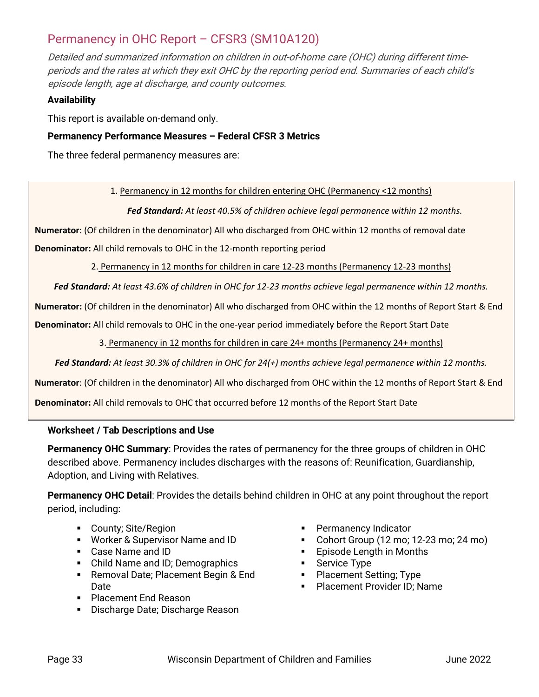### <span id="page-32-0"></span>Permanency in OHC Report – CFSR3 (SM10A120)

Detailed and summarized information on children in out-of-home care (OHC) during different timeperiods and the rates at which they exit OHC by the reporting period end. Summaries of each child's episode length, age at discharge, and county outcomes.

#### **Availability**

This report is available on-demand only.

#### **Permanency Performance Measures – Federal CFSR 3 Metrics**

The three federal permanency measures are:

1. Permanency in 12 months for children entering OHC (Permanency <12 months)

*Fed Standard: At least 40.5% of children achieve legal permanence within 12 months.*

**Numerator**: (Of children in the denominator) All who discharged from OHC within 12 months of removal date

**Denominator:** All child removals to OHC in the 12-month reporting period

2. Permanency in 12 months for children in care 12-23 months (Permanency 12-23 months)

*Fed Standard: At least 43.6% of children in OHC for 12-23 months achieve legal permanence within 12 months.*

**Numerator:** (Of children in the denominator) All who discharged from OHC within the 12 months of Report Start & End

**Denominator:** All child removals to OHC in the one-year period immediately before the Report Start Date

3. Permanency in 12 months for children in care 24+ months (Permanency 24+ months)

*Fed Standard: At least 30.3% of children in OHC for 24(+) months achieve legal permanence within 12 months.*

**Numerator**: (Of children in the denominator) All who discharged from OHC within the 12 months of Report Start & End

**Denominator:** All child removals to OHC that occurred before 12 months of the Report Start Date

#### **Worksheet / Tab Descriptions and Use**

**Permanency OHC Summary**: Provides the rates of permanency for the three groups of children in OHC described above. Permanency includes discharges with the reasons of: Reunification, Guardianship, Adoption, and Living with Relatives.

**Permanency OHC Detail**: Provides the details behind children in OHC at any point throughout the report period, including:

- **County**; Site/Region
- **Worker & Supervisor Name and ID**
- Case Name and ID
- Child Name and ID; Demographics
- **Removal Date; Placement Begin & End** Date
- **Placement Fnd Reason**
- **Discharge Date; Discharge Reason**
- **Permanency Indicator**
- Cohort Group (12 mo; 12-23 mo; 24 mo)
- **Episode Length in Months**
- Service Type
- Placement Setting; Type
- **Placement Provider ID: Name**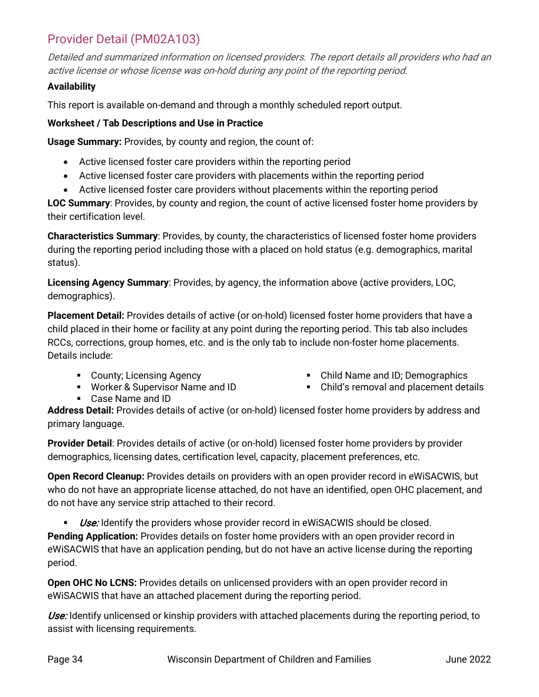### <span id="page-33-0"></span>Provider Detail (PM02A103)

Detailed and summarized information on licensed providers. The report details all providers who had an active license or whose license was on-hold during any point of the reporting period.

#### **Availability**

This report is available on-demand and through a monthly scheduled report output.

#### **Worksheet / Tab Descriptions and Use in Practice**

**Usage Summary:** Provides, by county and region, the count of:

- Active licensed foster care providers within the reporting period
- Active licensed foster care providers with placements within the reporting period
- Active licensed foster care providers without placements within the reporting period

**LOC Summary**: Provides, by county and region, the count of active licensed foster home providers by their certification level.

**Characteristics Summary**: Provides, by county, the characteristics of licensed foster home providers during the reporting period including those with a placed on hold status (e.g. demographics, marital status).

**Licensing Agency Summary**: Provides, by agency, the information above (active providers, LOC, demographics).

**Placement Detail:** Provides details of active (or on-hold) licensed foster home providers that have a child placed in their home or facility at any point during the reporting period. This tab also includes RCCs, corrections, group homes, etc. and is the only tab to include non-foster home placements. Details include:

- County; Licensing Agency
- **Worker & Supervisor Name and ID**
- Case Name and ID
- Child Name and ID; Demographics
- Child's removal and placement details

**Address Detail:** Provides details of active (or on-hold) licensed foster home providers by address and primary language.

**Provider Detail**: Provides details of active (or on-hold) licensed foster home providers by provider demographics, licensing dates, certification level, capacity, placement preferences, etc.

**Open Record Cleanup:** Provides details on providers with an open provider record in eWiSACWIS, but who do not have an appropriate license attached, do not have an identified, open OHC placement, and do not have any service strip attached to their record.

**Use:** Identify the providers whose provider record in eWiSACWIS should be closed.

**Pending Application:** Provides details on foster home providers with an open provider record in eWiSACWIS that have an application pending, but do not have an active license during the reporting period.

**Open OHC No LCNS:** Provides details on unlicensed providers with an open provider record in eWiSACWIS that have an attached placement during the reporting period.

Use: Identify unlicensed or kinship providers with attached placements during the reporting period, to assist with licensing requirements.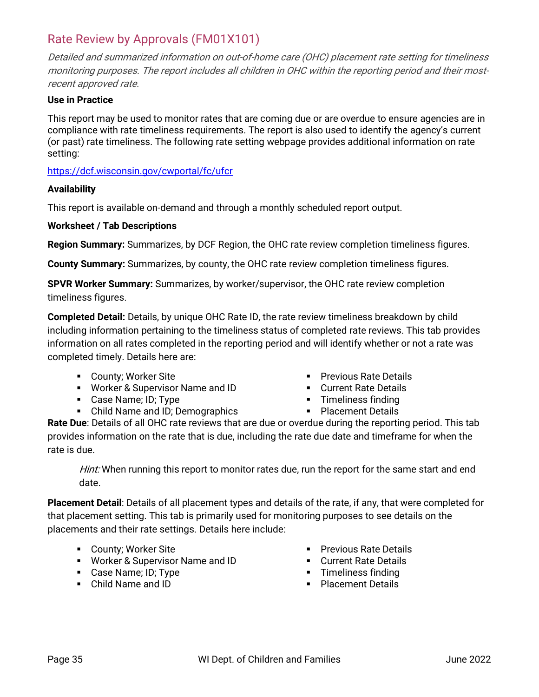### <span id="page-34-0"></span>Rate Review by Approvals (FM01X101)

Detailed and summarized information on out-of-home care (OHC) placement rate setting for timeliness monitoring purposes. The report includes all children in OHC within the reporting period and their mostrecent approved rate.

#### **Use in Practice**

This report may be used to monitor rates that are coming due or are overdue to ensure agencies are in compliance with rate timeliness requirements. The report is also used to identify the agency's current (or past) rate timeliness. The following rate setting webpage provides additional information on rate setting:

<https://dcf.wisconsin.gov/cwportal/fc/ufcr>

#### **Availability**

This report is available on-demand and through a monthly scheduled report output.

#### **Worksheet / Tab Descriptions**

**Region Summary:** Summarizes, by DCF Region, the OHC rate review completion timeliness figures.

**County Summary:** Summarizes, by county, the OHC rate review completion timeliness figures.

**SPVR Worker Summary:** Summarizes, by worker/supervisor, the OHC rate review completion timeliness figures.

**Completed Detail:** Details, by unique OHC Rate ID, the rate review timeliness breakdown by child including information pertaining to the timeliness status of completed rate reviews. This tab provides information on all rates completed in the reporting period and will identify whether or not a rate was completed timely. Details here are:

- **County; Worker Site**
- Worker & Supervisor Name and ID
- Case Name; ID; Type
- Child Name and ID; Demographics
- **Previous Rate Details**
- **Current Rate Details**
- **Timeliness finding**
- Placement Details

**Rate Due**: Details of all OHC rate reviews that are due or overdue during the reporting period. This tab provides information on the rate that is due, including the rate due date and timeframe for when the rate is due.

Hint: When running this report to monitor rates due, run the report for the same start and end date.

**Placement Detail**: Details of all placement types and details of the rate, if any, that were completed for that placement setting. This tab is primarily used for monitoring purposes to see details on the placements and their rate settings. Details here include:

- **County; Worker Site**
- Worker & Supervisor Name and ID
- Case Name; ID; Type
- Child Name and ID
- **Previous Rate Details**
- **Current Rate Details**
- **Timeliness finding**
- **Placement Details**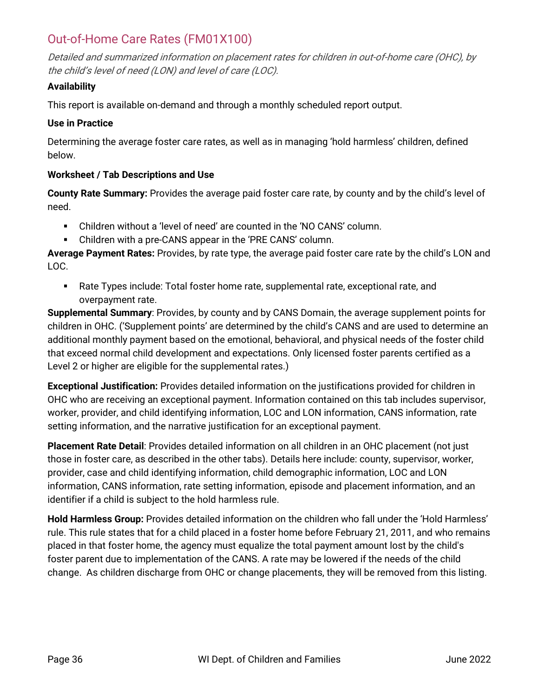### <span id="page-35-0"></span>Out-of-Home Care Rates (FM01X100)

Detailed and summarized information on placement rates for children in out-of-home care (OHC), by the child's level of need (LON) and level of care (LOC).

#### **Availability**

This report is available on-demand and through a monthly scheduled report output.

#### **Use in Practice**

Determining the average foster care rates, as well as in managing 'hold harmless' children, defined below.

#### **Worksheet / Tab Descriptions and Use**

**County Rate Summary:** Provides the average paid foster care rate, by county and by the child's level of need.

- Children without a 'level of need' are counted in the 'NO CANS' column.
- Children with a pre-CANS appear in the 'PRE CANS' column.

**Average Payment Rates:** Provides, by rate type, the average paid foster care rate by the child's LON and LOC.

 Rate Types include: Total foster home rate, supplemental rate, exceptional rate, and overpayment rate.

**Supplemental Summary**: Provides, by county and by CANS Domain, the average supplement points for children in OHC. ('Supplement points' are determined by the child's CANS and are used to determine an additional monthly payment based on the emotional, behavioral, and physical needs of the foster child that exceed normal child development and expectations. Only licensed foster parents certified as a Level 2 or higher are eligible for the supplemental rates.)

**Exceptional Justification:** Provides detailed information on the justifications provided for children in OHC who are receiving an exceptional payment. Information contained on this tab includes supervisor, worker, provider, and child identifying information, LOC and LON information, CANS information, rate setting information, and the narrative justification for an exceptional payment.

**Placement Rate Detail**: Provides detailed information on all children in an OHC placement (not just those in foster care, as described in the other tabs). Details here include: county, supervisor, worker, provider, case and child identifying information, child demographic information, LOC and LON information, CANS information, rate setting information, episode and placement information, and an identifier if a child is subject to the hold harmless rule.

**Hold Harmless Group:** Provides detailed information on the children who fall under the 'Hold Harmless' rule. This rule states that for a child placed in a foster home before February 21, 2011, and who remains placed in that foster home, the agency must equalize the total payment amount lost by the child's foster parent due to implementation of the CANS. A rate may be lowered if the needs of the child change. As children discharge from OHC or change placements, they will be removed from this listing.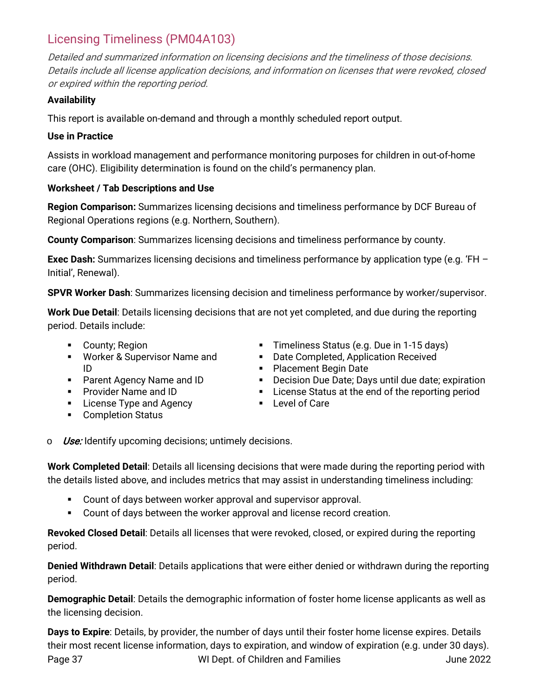### <span id="page-36-0"></span>Licensing Timeliness (PM04A103)

Detailed and summarized information on licensing decisions and the timeliness of those decisions. Details include all license application decisions, and information on licenses that were revoked, closed or expired within the reporting period.

#### **Availability**

This report is available on-demand and through a monthly scheduled report output.

#### **Use in Practice**

Assists in workload management and performance monitoring purposes for children in out-of-home care (OHC). Eligibility determination is found on the child's permanency plan.

#### **Worksheet / Tab Descriptions and Use**

**Region Comparison:** Summarizes licensing decisions and timeliness performance by DCF Bureau of Regional Operations regions (e.g. Northern, Southern).

**County Comparison**: Summarizes licensing decisions and timeliness performance by county.

**Exec Dash:** Summarizes licensing decisions and timeliness performance by application type (e.g. 'FH – Initial', Renewal).

**SPVR Worker Dash**: Summarizes licensing decision and timeliness performance by worker/supervisor.

**Work Due Detail**: Details licensing decisions that are not yet completed, and due during the reporting period. Details include:

- **County: Region**
- **Worker & Supervisor Name and** ID
- **Parent Agency Name and ID**
- **Provider Name and ID**
- **License Type and Agency**
- **•** Completion Status
- **Timeliness Status (e.g. Due in 1-15 days)**
- **Date Completed, Application Received**
- **Placement Begin Date**
- **Decision Due Date; Days until due date; expiration**
- **EXEC** License Status at the end of the reporting period
- Level of Care
- $\circ$  *Use:* Identify upcoming decisions; untimely decisions.

**Work Completed Detail**: Details all licensing decisions that were made during the reporting period with the details listed above, and includes metrics that may assist in understanding timeliness including:

- Count of days between worker approval and supervisor approval.
- Count of days between the worker approval and license record creation.

**Revoked Closed Detail**: Details all licenses that were revoked, closed, or expired during the reporting period.

**Denied Withdrawn Detail**: Details applications that were either denied or withdrawn during the reporting period.

**Demographic Detail**: Details the demographic information of foster home license applicants as well as the licensing decision.

Page 37 The Superson WI Dept. of Children and Families The Superson Superson Superson Superson Superson Supers **Days to Expire**: Details, by provider, the number of days until their foster home license expires. Details their most recent license information, days to expiration, and window of expiration (e.g. under 30 days).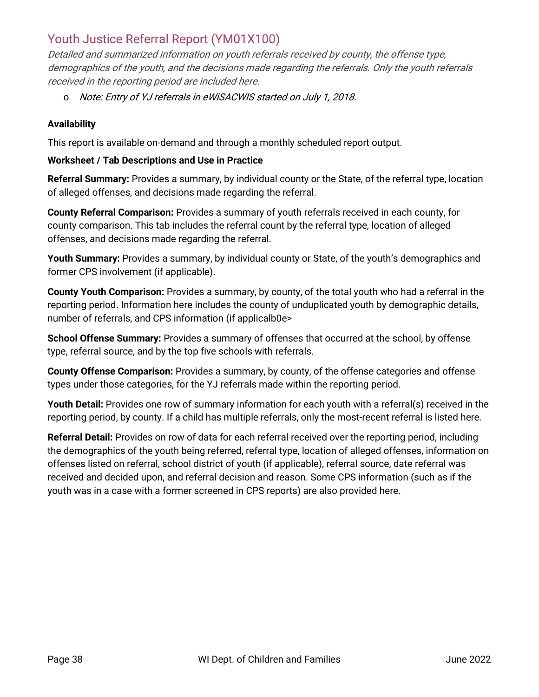### <span id="page-37-0"></span>Youth Justice Referral Report (YM01X100)

Detailed and summarized information on youth referrals received by county, the offense type, demographics of the youth, and the decisions made regarding the referrals. Only the youth referrals received in the reporting period are included here.

o Note: Entry of YJ referrals in eWiSACWIS started on July 1, 2018.

#### **Availability**

This report is available on-demand and through a monthly scheduled report output.

#### **Worksheet / Tab Descriptions and Use in Practice**

**Referral Summary:** Provides a summary, by individual county or the State, of the referral type, location of alleged offenses, and decisions made regarding the referral.

**County Referral Comparison:** Provides a summary of youth referrals received in each county, for county comparison. This tab includes the referral count by the referral type, location of alleged offenses, and decisions made regarding the referral.

**Youth Summary:** Provides a summary, by individual county or State, of the youth's demographics and former CPS involvement (if applicable).

**County Youth Comparison:** Provides a summary, by county, of the total youth who had a referral in the reporting period. Information here includes the county of unduplicated youth by demographic details, number of referrals, and CPS information (if applicalb0e>

**School Offense Summary:** Provides a summary of offenses that occurred at the school, by offense type, referral source, and by the top five schools with referrals.

**County Offense Comparison:** Provides a summary, by county, of the offense categories and offense types under those categories, for the YJ referrals made within the reporting period.

Youth Detail: Provides one row of summary information for each youth with a referral(s) received in the reporting period, by county. If a child has multiple referrals, only the most-recent referral is listed here.

**Referral Detail:** Provides on row of data for each referral received over the reporting period, including the demographics of the youth being referred, referral type, location of alleged offenses, information on offenses listed on referral, school district of youth (if applicable), referral source, date referral was received and decided upon, and referral decision and reason. Some CPS information (such as if the youth was in a case with a former screened in CPS reports) are also provided here.